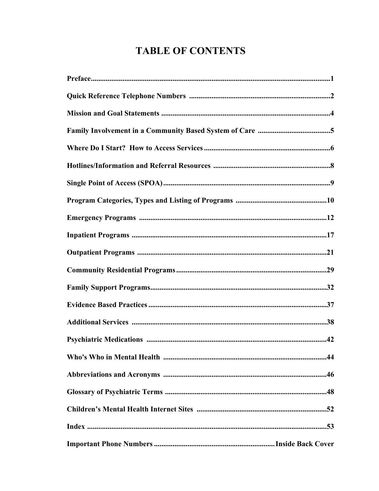# **TABLE OF CONTENTS**

| Preface. 1 |  |
|------------|--|
|            |  |
|            |  |
|            |  |
|            |  |
|            |  |
|            |  |
|            |  |
|            |  |
|            |  |
|            |  |
|            |  |
|            |  |
|            |  |
|            |  |
|            |  |
|            |  |
|            |  |
|            |  |
|            |  |
|            |  |
|            |  |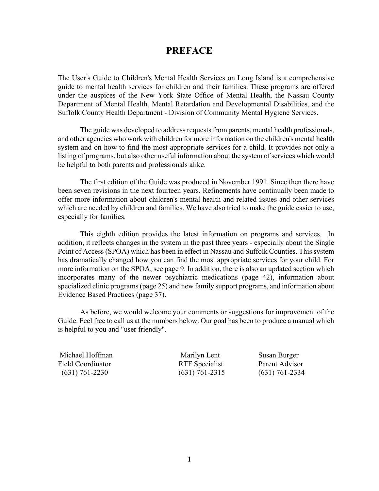# **PREFACE**

The User' s Guide to Children's Mental Health Services on Long Island is a comprehensive guide to mental health services for children and their families. These programs are offered under the auspices of the New York State Office of Mental Health, the Nassau County Department of Mental Health, Mental Retardation and Developmental Disabilities, and the Suffolk County Health Department - Division of Community Mental Hygiene Services.

The guide was developed to address requests from parents, mental health professionals, and other agencies who work with children for more information on the children's mental health system and on how to find the most appropriate services for a child. It provides not only a listing of programs, but also other useful information about the system of services which would be helpful to both parents and professionals alike.

The first edition of the Guide was produced in November 1991. Since then there have been seven revisions in the next fourteen years. Refinements have continually been made to offer more information about children's mental health and related issues and other services which are needed by children and families. We have also tried to make the guide easier to use, especially for families.

This eighth edition provides the latest information on programs and services. In addition, it reflects changes in the system in the past three years - especially about the Single Point of Access (SPOA) which has been in effect in Nassau and Suffolk Counties. This system has dramatically changed how you can find the most appropriate services for your child. For more information on the SPOA, see page 9. In addition, there is also an updated section which incorporates many of the newer psychiatric medications (page 42), information about specialized clinic programs (page 25) and new family support programs, and information about Evidence Based Practices (page 37).

As before, we would welcome your comments or suggestions for improvement of the Guide. Feel free to call us at the numbers below. Our goal has been to produce a manual which is helpful to you and "user friendly".

 Michael Hoffman Marilyn Lent Susan Burger Field Coordinator **RTF** Specialist Parent Advisor (631) 761-2230 (631) 761-2315 (631) 761-2334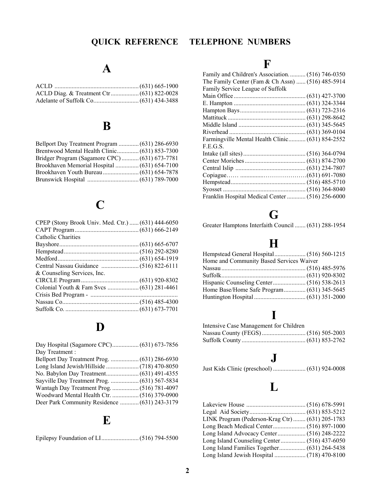# **A**

# **B**

| Bridger Program (Sagamore CPC) (631) 673-7781 |  |
|-----------------------------------------------|--|
|                                               |  |
|                                               |  |
|                                               |  |

# **C**

| CPEP (Stony Brook Univ. Med. Ctr.)  (631) 444-6050 |  |
|----------------------------------------------------|--|
|                                                    |  |
| Catholic Charities                                 |  |
|                                                    |  |
|                                                    |  |
|                                                    |  |
|                                                    |  |
| & Counseling Services, Inc.                        |  |
|                                                    |  |
|                                                    |  |
|                                                    |  |
|                                                    |  |
|                                                    |  |

# **D**

| Day Treatment:                                |  |
|-----------------------------------------------|--|
|                                               |  |
|                                               |  |
|                                               |  |
|                                               |  |
|                                               |  |
|                                               |  |
| Deer Park Community Residence  (631) 243-3179 |  |

# **E**

Epilepsy Foundation of LI........................ (516) 794-5500

# **QUICK REFERENCE TELEPHONE NUMBERS**

# **F**

| Family and Children's Association (516) 746-0350  |  |
|---------------------------------------------------|--|
| The Family Center (Fam & Ch Assn)  (516) 485-5914 |  |
| Family Service League of Suffolk                  |  |
|                                                   |  |
|                                                   |  |
|                                                   |  |
|                                                   |  |
|                                                   |  |
|                                                   |  |
| Farmingville Mental Health Clinic (631) 854-2552  |  |
| F.E.G.S.                                          |  |
|                                                   |  |
|                                                   |  |
|                                                   |  |
|                                                   |  |
|                                                   |  |
|                                                   |  |
| Franklin Hospital Medical Center  (516) 256-6000  |  |

# **G**

Greater Hamptons Interfaith Council ....... (631) 288-1954

# **H**

| Home and Community Based Services Waiver |  |
|------------------------------------------|--|
|                                          |  |
|                                          |  |
|                                          |  |
|                                          |  |
|                                          |  |
|                                          |  |

# **I**

| Intensive Case Management for Children |  |
|----------------------------------------|--|
|                                        |  |
|                                        |  |

# **J**

Just Kids Clinic (preschool) ..................... (631) 924-0008

# **L**

| LINK Program (Pederson-Krag Ctr) (631) 205-1783 |  |
|-------------------------------------------------|--|
|                                                 |  |
|                                                 |  |
|                                                 |  |
|                                                 |  |
|                                                 |  |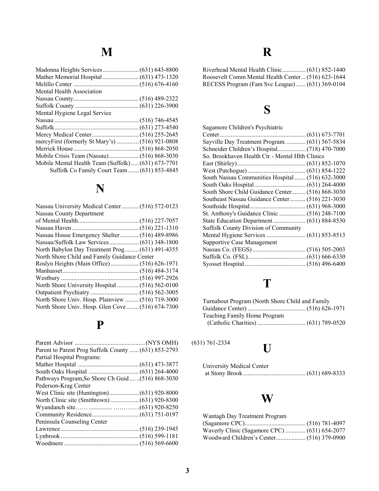| Mental Health Association                          |  |
|----------------------------------------------------|--|
|                                                    |  |
|                                                    |  |
| Mental Hygiene Legal Service                       |  |
|                                                    |  |
|                                                    |  |
|                                                    |  |
| mercyFirst (formerly St Mary's)  (516) 921-0808    |  |
|                                                    |  |
|                                                    |  |
| Mobile Mental Health Team (Suffolk) (631) 673-7701 |  |
| Suffolk Co Family Court Team  (631) 853-4845       |  |
|                                                    |  |

# **N**

| Nassau University Medical Center (516) 572-0123   |  |
|---------------------------------------------------|--|
| <b>Nassau County Department</b>                   |  |
|                                                   |  |
|                                                   |  |
| Nassau House Emergency Shelter (516) 489-8986     |  |
|                                                   |  |
| North Babylon Day Treatment Prog (631) 491-4355   |  |
| North Shore Child and Family Guidance Center      |  |
|                                                   |  |
|                                                   |  |
|                                                   |  |
|                                                   |  |
|                                                   |  |
| North Shore Univ. Hosp. Plainview  (516) 719-3000 |  |
| North Shore Univ. Hosp. Glen Cove (516) 674-7300  |  |

# **P**

| Parent to Parent Prog Suffolk County  (631) 853-2793 |  |
|------------------------------------------------------|--|
| Partial Hospital Programs:                           |  |
|                                                      |  |
|                                                      |  |
| Pathways Program, So Shore Ch Guid(516) 868-3030     |  |
| Pederson-Krag Center                                 |  |
|                                                      |  |
|                                                      |  |
|                                                      |  |
|                                                      |  |
| Peninsula Counseling Center                          |  |
|                                                      |  |
|                                                      |  |
|                                                      |  |

# **R**

| Roosevelt Comm Mental Health Center (516) 623-1644 |  |
|----------------------------------------------------|--|
| RECESS Program (Fam Svc League)  (631) 369-0104    |  |

# **S**

| Sagamore Children's Psychiatric                   |  |
|---------------------------------------------------|--|
|                                                   |  |
| Sayville Day Treatment Program.  (631) 567-5834   |  |
|                                                   |  |
| So. Brookhaven Health Ctr - Mental Hlth Clinics   |  |
|                                                   |  |
|                                                   |  |
| South Nassau Communities Hospital  (516) 632-3000 |  |
|                                                   |  |
| South Shore Child Guidance Center (516) 868-3030  |  |
| Southeast Nassau Guidance Center  (516) 221-3030  |  |
|                                                   |  |
|                                                   |  |
|                                                   |  |
| <b>Suffolk County Division of Community</b>       |  |
|                                                   |  |
| <b>Supportive Case Management</b>                 |  |
|                                                   |  |
|                                                   |  |
|                                                   |  |
|                                                   |  |

# **T**

| Turnabout Program (North Shore Child and Family |  |
|-------------------------------------------------|--|
|                                                 |  |
| Teaching Family Home Program                    |  |
|                                                 |  |

 $(631) 761-2334$ 

# **U**

| <b>University Medical Center</b> |  |
|----------------------------------|--|
|                                  |  |

# **W**

| Wantagh Day Treatment Program                 |  |
|-----------------------------------------------|--|
|                                               |  |
| Waverly Clinic (Sagamore CPC)  (631) 654-2077 |  |
|                                               |  |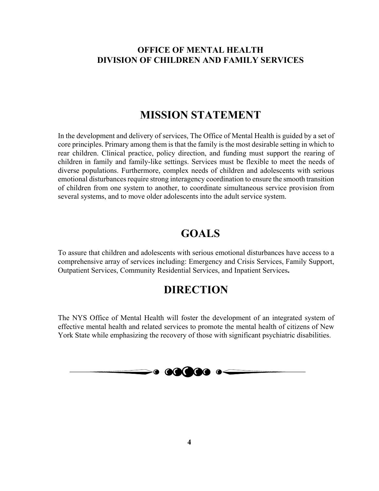# **OFFICE OF MENTAL HEALTH DIVISION OF CHILDREN AND FAMILY SERVICES**

# **MISSION STATEMENT**

In the development and delivery of services, The Office of Mental Health is guided by a set of core principles. Primary among them is that the family is the most desirable setting in which to rear children. Clinical practice, policy direction, and funding must support the rearing of children in family and family-like settings. Services must be flexible to meet the needs of diverse populations. Furthermore, complex needs of children and adolescents with serious emotional disturbances require strong interagency coordination to ensure the smooth transition of children from one system to another, to coordinate simultaneous service provision from several systems, and to move older adolescents into the adult service system.

# **GOALS**

To assure that children and adolescents with serious emotional disturbances have access to a comprehensive array of services including: Emergency and Crisis Services, Family Support, Outpatient Services, Community Residential Services, and Inpatient Services**.** 

# **DIRECTION**

The NYS Office of Mental Health will foster the development of an integrated system of effective mental health and related services to promote the mental health of citizens of New York State while emphasizing the recovery of those with significant psychiatric disabilities.

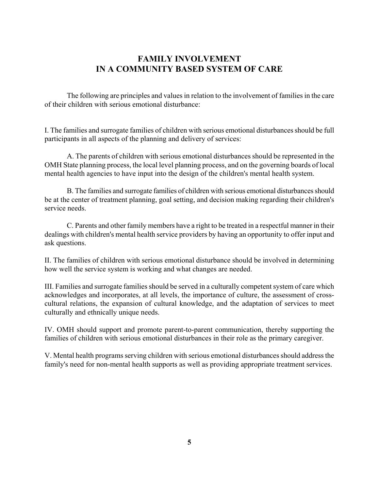# **FAMILY INVOLVEMENT IN A COMMUNITY BASED SYSTEM OF CARE**

The following are principles and values in relation to the involvement of families in the care of their children with serious emotional disturbance:

I. The families and surrogate families of children with serious emotional disturbances should be full participants in all aspects of the planning and delivery of services:

A. The parents of children with serious emotional disturbances should be represented in the OMH State planning process, the local level planning process, and on the governing boards of local mental health agencies to have input into the design of the children's mental health system.

B. The families and surrogate families of children with serious emotional disturbances should be at the center of treatment planning, goal setting, and decision making regarding their children's service needs.

C. Parents and other family members have a right to be treated in a respectful manner in their dealings with children's mental health service providers by having an opportunity to offer input and ask questions.

II. The families of children with serious emotional disturbance should be involved in determining how well the service system is working and what changes are needed.

III. Families and surrogate families should be served in a culturally competent system of care which acknowledges and incorporates, at all levels, the importance of culture, the assessment of crosscultural relations, the expansion of cultural knowledge, and the adaptation of services to meet culturally and ethnically unique needs.

IV. OMH should support and promote parent-to-parent communication, thereby supporting the families of children with serious emotional disturbances in their role as the primary caregiver.

V. Mental health programs serving children with serious emotional disturbances should address the family's need for non-mental health supports as well as providing appropriate treatment services.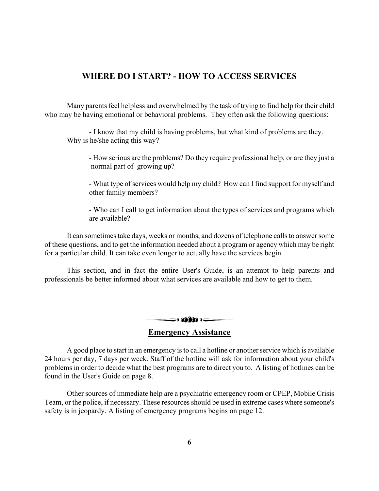# **WHERE DO I START? - HOW TO ACCESS SERVICES**

Many parents feel helpless and overwhelmed by the task of trying to find help for their child who may be having emotional or behavioral problems. They often ask the following questions:

- I know that my child is having problems, but what kind of problems are they. Why is he/she acting this way?

- How serious are the problems? Do they require professional help, or are they just a normal part of growing up?

- What type of services would help my child? How can I find support for myself and other family members?

- Who can I call to get information about the types of services and programs which are available?

It can sometimes take days, weeks or months, and dozens of telephone calls to answer some of these questions, and to get the information needed about a program or agency which may be right for a particular child. It can take even longer to actually have the services begin.

This section, and in fact the entire User's Guide, is an attempt to help parents and professionals be better informed about what services are available and how to get to them.



A good place to start in an emergency is to call a hotline or another service which is available 24 hours per day, 7 days per week. Staff of the hotline will ask for information about your child's problems in order to decide what the best programs are to direct you to. A listing of hotlines can be found in the User's Guide on page 8.

Other sources of immediate help are a psychiatric emergency room or CPEP, Mobile Crisis Team, or the police, if necessary. These resources should be used in extreme cases where someone's safety is in jeopardy. A listing of emergency programs begins on page 12.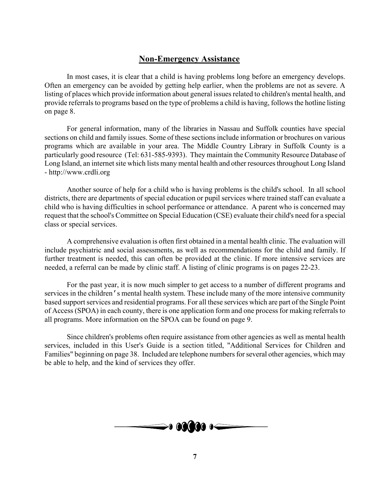# **Non-Emergency Assistance**

In most cases, it is clear that a child is having problems long before an emergency develops. Often an emergency can be avoided by getting help earlier, when the problems are not as severe. A listing of places which provide information about general issues related to children's mental health, and provide referrals to programs based on the type of problems a child is having, follows the hotline listing on page 8.

For general information, many of the libraries in Nassau and Suffolk counties have special sections on child and family issues. Some of these sections include information or brochures on various programs which are available in your area. The Middle Country Library in Suffolk County is a particularly good resource (Tel: 631-585-9393). They maintain the Community Resource Database of Long Island, an internet site which lists many mental health and other resources throughout Long Island - http://www.crdli.org

Another source of help for a child who is having problems is the child's school. In all school districts, there are departments of special education or pupil services where trained staff can evaluate a child who is having difficulties in school performance or attendance. A parent who is concerned may request that the school's Committee on Special Education (CSE) evaluate their child's need for a special class or special services.

A comprehensive evaluation is often first obtained in a mental health clinic. The evaluation will include psychiatric and social assessments, as well as recommendations for the child and family. If further treatment is needed, this can often be provided at the clinic. If more intensive services are needed, a referral can be made by clinic staff. A listing of clinic programs is on pages 22-23.

For the past year, it is now much simpler to get access to a number of different programs and services in the children's mental health system. These include many of the more intensive community based support services and residential programs. For all these services which are part of the Single Point of Access (SPOA) in each county, there is one application form and one process for making referrals to all programs. More information on the SPOA can be found on page 9.

Since children's problems often require assistance from other agencies as well as mental health services, included in this User's Guide is a section titled, "Additional Services for Children and Families" beginning on page 38. Included are telephone numbers for several other agencies, which may be able to help, and the kind of services they offer.

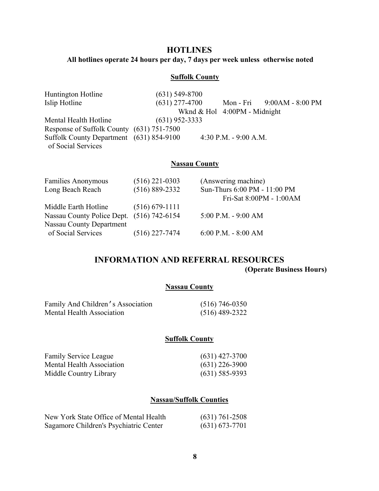## **HOTLINES**

**All hotlines operate 24 hours per day, 7 days per week unless otherwise noted** 

## **Suffolk County**

| <b>Huntington Hotline</b>                 | $(631)$ 549-8700 |                                |                              |
|-------------------------------------------|------------------|--------------------------------|------------------------------|
| Islip Hotline                             | $(631)$ 277-4700 |                                | Mon - Fri $9:00AM - 8:00 PM$ |
|                                           |                  | Wknd $&$ Hol 4:00PM - Midnight |                              |
| Mental Health Hotline                     | $(631)$ 952-3333 |                                |                              |
| Response of Suffolk County (631) 751-7500 |                  |                                |                              |
| Suffolk County Department (631) 854-9100  |                  | 4:30 P.M. - 9:00 A.M.          |                              |
| of Social Services                        |                  |                                |                              |

#### **Nassau County**

| <b>Families Anonymous</b>                 | $(516)$ 221-0303   | (Answering machine)          |
|-------------------------------------------|--------------------|------------------------------|
| Long Beach Reach                          | $(516) 889 - 2332$ | Sun-Thurs 6:00 PM - 11:00 PM |
|                                           |                    | Fri-Sat 8:00PM - 1:00AM      |
| Middle Earth Hotline                      | $(516) 679-1111$   |                              |
| Nassau County Police Dept. (516) 742-6154 |                    | $5:00$ P.M. - 9:00 AM        |
| <b>Nassau County Department</b>           |                    |                              |
| of Social Services                        | $(516)$ 227-7474   | $6:00$ P.M. - $8:00$ AM      |

# **INFORMATION AND REFERRAL RESOURCES (Operate Business Hours)**

#### **Nassau County**

| Family And Children's Association | $(516)$ 746-0350 |
|-----------------------------------|------------------|
| <b>Mental Health Association</b>  | $(516)$ 489-2322 |

## **Suffolk County**

Family Service League (631) 427-3700 Mental Health Association (631) 226-3900<br>Middle Country Library (631) 585-9393 Middle Country Library

#### **Nassau/Suffolk Counties**

| New York State Office of Mental Health | $(631)$ 761-2508   |
|----------------------------------------|--------------------|
| Sagamore Children's Psychiatric Center | $(631) 673 - 7701$ |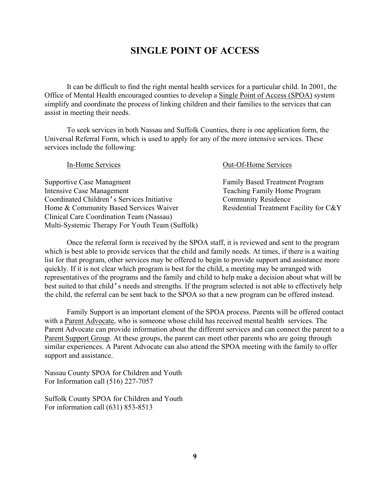# **SINGLE POINT OF ACCESS**

It can be difficult to find the right mental health services for a particular child. In 2001, the Office of Mental Health encouraged counties to develop a Single Point of Access (SPOA) system simplify and coordinate the process of linking children and their families to the services that can assist in meeting their needs.

To seek services in both Nassau and Suffolk Counties, there is one application form, the Universal Referral Form, which is used to apply for any of the more intensive services. These services include the following:

| <b>Out-Of-Home Services</b>            |
|----------------------------------------|
| <b>Family Based Treatment Program</b>  |
| Teaching Family Home Program           |
| <b>Community Residence</b>             |
| Residential Treatment Facility for C&Y |
|                                        |
|                                        |
|                                        |

Once the referral form is received by the SPOA staff, it is reviewed and sent to the program which is best able to provide services that the child and family needs. At times, if there is a waiting list for that program, other services may be offered to begin to provide support and assistance more quickly. If it is not clear which program is best for the child, a meeting may be arranged with representatives of the programs and the family and child to help make a decision about what will be best suited to that child's needs and strengths. If the program selected is not able to effectively help the child, the referral can be sent back to the SPOA so that a new program can be offered instead.

Family Support is an important element of the SPOA process. Parents will be offered contact with a Parent Advocate, who is someone whose child has received mental health services. The Parent Advocate can provide information about the different services and can connect the parent to a Parent Support Group. At these groups, the parent can meet other parents who are going through similar experiences. A Parent Advocate can also attend the SPOA meeting with the family to offer support and assistance.

Nassau County SPOA for Children and Youth For Information call (516) 227-7057

Suffolk County SPOA for Children and Youth For information call (631) 853-8513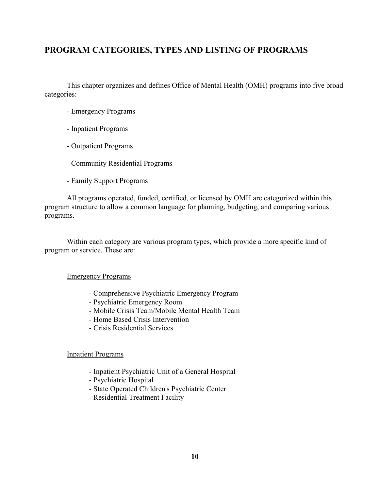# **PROGRAM CATEGORIES, TYPES AND LISTING OF PROGRAMS**

This chapter organizes and defines Office of Mental Health (OMH) programs into five broad categories:

- Emergency Programs
- Inpatient Programs
- Outpatient Programs
- Community Residential Programs
- Family Support Programs

All programs operated, funded, certified, or licensed by OMH are categorized within this program structure to allow a common language for planning, budgeting, and comparing various programs.

Within each category are various program types, which provide a more specific kind of program or service. These are:

#### Emergency Programs

- Comprehensive Psychiatric Emergency Program
- Psychiatric Emergency Room
- Mobile Crisis Team/Mobile Mental Health Team
- Home Based Crisis Intervention
- Crisis Residential Services

#### Inpatient Programs

- Inpatient Psychiatric Unit of a General Hospital
- Psychiatric Hospital
- State Operated Children's Psychiatric Center
- Residential Treatment Facility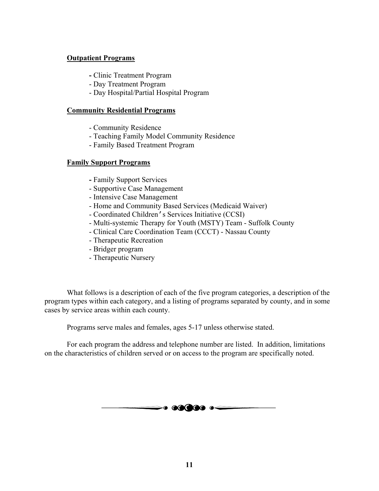# **Outpatient Programs**

- Clinic Treatment Program
- Day Treatment Program
- Day Hospital/Partial Hospital Program

### **Community Residential Programs**

- Community Residence
- Teaching Family Model Community Residence
- Family Based Treatment Program

## **Family Support Programs**

- Family Support Services
- Supportive Case Management
- Intensive Case Management
- Home and Community Based Services (Medicaid Waiver)
- Coordinated Children's Services Initiative (CCSI)
- Multi-systemic Therapy for Youth (MSTY) Team Suffolk County
- Clinical Care Coordination Team (CCCT) Nassau County
- Therapeutic Recreation
- Bridger program
- Therapeutic Nursery

What follows is a description of each of the five program categories, a description of the program types within each category, and a listing of programs separated by county, and in some cases by service areas within each county.

Programs serve males and females, ages 5-17 unless otherwise stated.

For each program the address and telephone number are listed. In addition, limitations on the characteristics of children served or on access to the program are specifically noted.

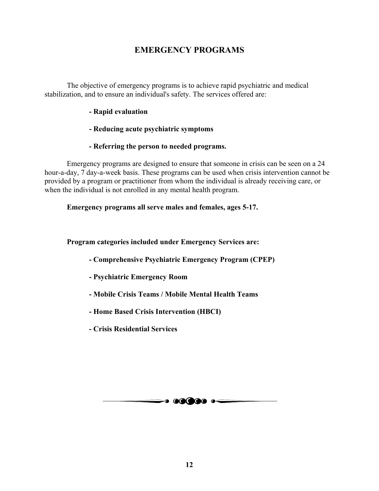# **EMERGENCY PROGRAMS**

The objective of emergency programs is to achieve rapid psychiatric and medical stabilization, and to ensure an individual's safety. The services offered are:

## **- Rapid evaluation**

# **- Reducing acute psychiatric symptoms**

## **- Referring the person to needed programs.**

Emergency programs are designed to ensure that someone in crisis can be seen on a 24 hour-a-day, 7 day-a-week basis. These programs can be used when crisis intervention cannot be provided by a program or practitioner from whom the individual is already receiving care, or when the individual is not enrolled in any mental health program.

## **Emergency programs all serve males and females, ages 5-17.**

## **Program categories included under Emergency Services are:**

- **Comprehensive Psychiatric Emergency Program (CPEP)**
- **Psychiatric Emergency Room**
- **Mobile Crisis Teams / Mobile Mental Health Teams**
- **Home Based Crisis Intervention (HBCI)**
- **Crisis Residential Services**

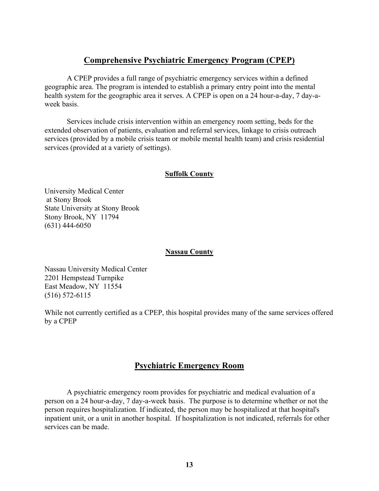# **Comprehensive Psychiatric Emergency Program (CPEP)**

A CPEP provides a full range of psychiatric emergency services within a defined geographic area. The program is intended to establish a primary entry point into the mental health system for the geographic area it serves. A CPEP is open on a 24 hour-a-day, 7 day-aweek basis.

Services include crisis intervention within an emergency room setting, beds for the extended observation of patients, evaluation and referral services, linkage to crisis outreach services (provided by a mobile crisis team or mobile mental health team) and crisis residential services (provided at a variety of settings).

## **Suffolk County**

University Medical Center at Stony Brook State University at Stony Brook Stony Brook, NY 11794 (631) 444-6050

#### **Nassau County**

Nassau University Medical Center 2201 Hempstead Turnpike East Meadow, NY 11554 (516) 572-6115

While not currently certified as a CPEP, this hospital provides many of the same services offered by a CPEP

# **Psychiatric Emergency Room**

A psychiatric emergency room provides for psychiatric and medical evaluation of a person on a 24 hour-a-day, 7 day-a-week basis. The purpose is to determine whether or not the person requires hospitalization. If indicated, the person may be hospitalized at that hospital's inpatient unit, or a unit in another hospital. If hospitalization is not indicated, referrals for other services can be made.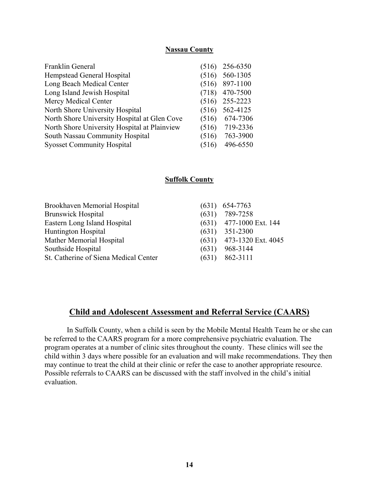#### **Nassau County**

| Franklin General                             | (516) | 256-6350 |
|----------------------------------------------|-------|----------|
| Hempstead General Hospital                   | (516) | 560-1305 |
| Long Beach Medical Center                    | (516) | 897-1100 |
| Long Island Jewish Hospital                  | (718) | 470-7500 |
| Mercy Medical Center                         | (516) | 255-2223 |
| North Shore University Hospital              | (516) | 562-4125 |
| North Shore University Hospital at Glen Cove | (516) | 674-7306 |
| North Shore University Hospital at Plainview | (516) | 719-2336 |
| South Nassau Community Hospital              | (516) | 763-3900 |
| <b>Syosset Community Hospital</b>            | 516   | 496-6550 |

#### **Suffolk County**

| <b>Brookhaven Memorial Hospital</b>   | $(631)$ 654-7763           |
|---------------------------------------|----------------------------|
| <b>Brunswick Hospital</b>             | $(631)$ 789-7258           |
| Eastern Long Island Hospital          | $(631)$ 477-1000 Ext. 144  |
| <b>Huntington Hospital</b>            | $(631)$ 351-2300           |
| <b>Mather Memorial Hospital</b>       | $(631)$ 473-1320 Ext. 4045 |
| Southside Hospital                    | $(631)$ 968-3144           |
| St. Catherine of Siena Medical Center | $(631)$ 862-3111           |
|                                       |                            |

# **Child and Adolescent Assessment and Referral Service (CAARS)**

In Suffolk County, when a child is seen by the Mobile Mental Health Team he or she can be referred to the CAARS program for a more comprehensive psychiatric evaluation. The program operates at a number of clinic sites throughout the county. These clinics will see the child within 3 days where possible for an evaluation and will make recommendations. They then may continue to treat the child at their clinic or refer the case to another appropriate resource. Possible referrals to CAARS can be discussed with the staff involved in the child's initial evaluation.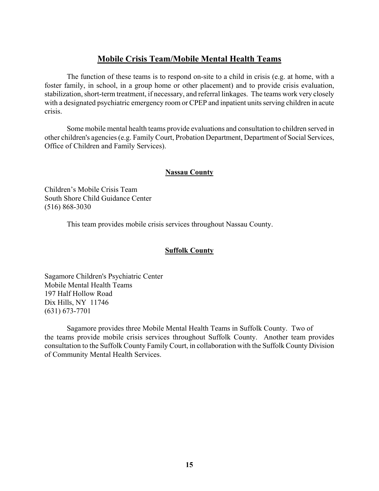# **Mobile Crisis Team/Mobile Mental Health Teams**

The function of these teams is to respond on-site to a child in crisis (e.g. at home, with a foster family, in school, in a group home or other placement) and to provide crisis evaluation, stabilization, short-term treatment, if necessary, and referral linkages. The teams work very closely with a designated psychiatric emergency room or CPEP and inpatient units serving children in acute crisis.

Some mobile mental health teams provide evaluations and consultation to children served in other children's agencies (e.g. Family Court, Probation Department, Department of Social Services, Office of Children and Family Services).

# **Nassau County**

Children's Mobile Crisis Team South Shore Child Guidance Center (516) 868-3030

This team provides mobile crisis services throughout Nassau County.

# **Suffolk County**

Sagamore Children's Psychiatric Center Mobile Mental Health Teams 197 Half Hollow Road Dix Hills, NY 11746 (631) 673-7701

Sagamore provides three Mobile Mental Health Teams in Suffolk County. Two of the teams provide mobile crisis services throughout Suffolk County. Another team provides consultation to the Suffolk County Family Court, in collaboration with the Suffolk County Division of Community Mental Health Services.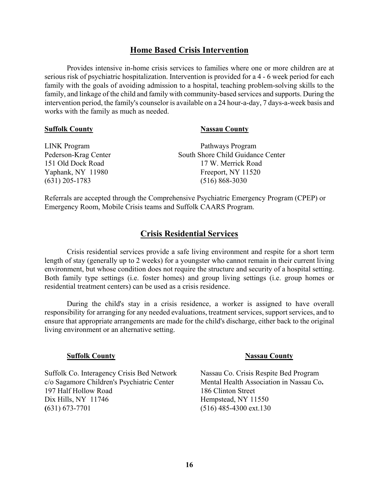# **Home Based Crisis Intervention**

Provides intensive in-home crisis services to families where one or more children are at serious risk of psychiatric hospitalization. Intervention is provided for a 4 - 6 week period for each family with the goals of avoiding admission to a hospital, teaching problem-solving skills to the family, and linkage of the child and family with community-based services and supports. During the intervention period, the family's counselor is available on a 24 hour-a-day, 7 days-a-week basis and works with the family as much as needed.

#### **Suffolk County** Nassau County

| South Shore Child Guidance Center |
|-----------------------------------|
|                                   |
|                                   |
|                                   |
|                                   |

Referrals are accepted through the Comprehensive Psychiatric Emergency Program (CPEP) or Emergency Room, Mobile Crisis teams and Suffolk CAARS Program.

# **Crisis Residential Services**

Crisis residential services provide a safe living environment and respite for a short term length of stay (generally up to 2 weeks) for a youngster who cannot remain in their current living environment, but whose condition does not require the structure and security of a hospital setting. Both family type settings (i.e. foster homes) and group living settings (i.e. group homes or residential treatment centers) can be used as a crisis residence.

During the child's stay in a crisis residence, a worker is assigned to have overall responsibility for arranging for any needed evaluations, treatment services, support services, and to ensure that appropriate arrangements are made for the child's discharge, either back to the original living environment or an alternative setting.

#### **Suffolk County** Nassau County

Suffolk Co. Interagency Crisis Bed Network Nassau Co. Crisis Respite Bed Program c/o Sagamore Children's Psychiatric CenterMental Health Association in Nassau Co**.**  197 Half Hollow Road186 Clinton Street Dix Hills, NY 11746Hempstead, NY 11550 **(**631) 673-7701(516) 485-4300 ext.130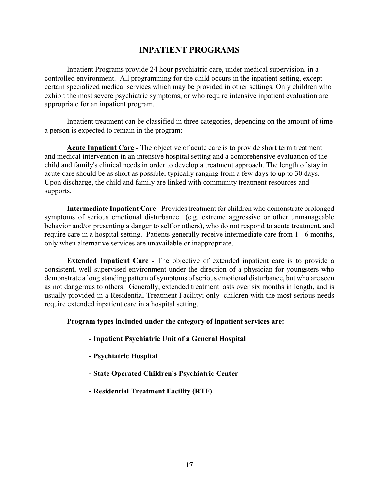# **INPATIENT PROGRAMS**

Inpatient Programs provide 24 hour psychiatric care, under medical supervision, in a controlled environment. All programming for the child occurs in the inpatient setting, except certain specialized medical services which may be provided in other settings. Only children who exhibit the most severe psychiatric symptoms, or who require intensive inpatient evaluation are appropriate for an inpatient program.

Inpatient treatment can be classified in three categories, depending on the amount of time a person is expected to remain in the program:

**Acute Inpatient Care -** The objective of acute care is to provide short term treatment and medical intervention in an intensive hospital setting and a comprehensive evaluation of the child and family's clinical needs in order to develop a treatment approach. The length of stay in acute care should be as short as possible, typically ranging from a few days to up to 30 days. Upon discharge, the child and family are linked with community treatment resources and supports.

**Intermediate Inpatient Care -** Provides treatment for children who demonstrate prolonged symptoms of serious emotional disturbance (e.g. extreme aggressive or other unmanageable behavior and/or presenting a danger to self or others), who do not respond to acute treatment, and require care in a hospital setting. Patients generally receive intermediate care from 1 - 6 months, only when alternative services are unavailable or inappropriate.

**Extended Inpatient Care -** The objective of extended inpatient care is to provide a consistent, well supervised environment under the direction of a physician for youngsters who demonstrate a long standing pattern of symptoms of serious emotional disturbance, but who are seen as not dangerous to others. Generally, extended treatment lasts over six months in length, and is usually provided in a Residential Treatment Facility; only children with the most serious needs require extended inpatient care in a hospital setting.

#### **Program types included under the category of inpatient services are:**

- **Inpatient Psychiatric Unit of a General Hospital**
- **Psychiatric Hospital**
- **State Operated Children's Psychiatric Center**
- **Residential Treatment Facility (RTF)**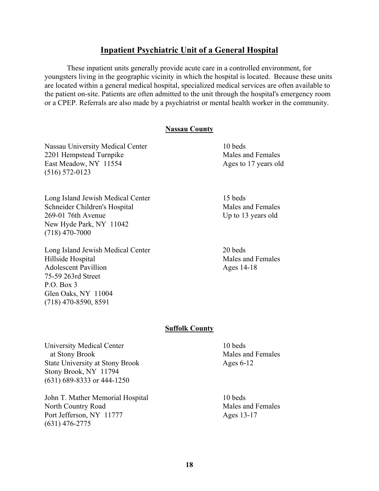# **Inpatient Psychiatric Unit of a General Hospital**

These inpatient units generally provide acute care in a controlled environment, for youngsters living in the geographic vicinity in which the hospital is located. Because these units are located within a general medical hospital, specialized medical services are often available to the patient on-site. Patients are often admitted to the unit through the hospital's emergency room or a CPEP. Referrals are also made by a psychiatrist or mental health worker in the community.

#### **Nassau County**

Nassau University Medical Center 10 beds 2201 Hempstead Turnpike Males and Females East Meadow, NY 11554 Ages to 17 years old (516) 572-0123

Long Island Jewish Medical Center 15 beds Schneider Children's Hospital Males and Females 269-01 76th Avenue Up to 13 years old New Hyde Park, NY 11042 (718) 470-7000

Long Island Jewish Medical Center 20 beds Hillside Hospital **Males** and Females Adolescent Pavillion Ages 14-18 75-59 263rd Street P.O. Box 3 Glen Oaks, NY 11004 (718) 470-8590, 8591

#### **Suffolk County**

University Medical Center 10 beds at Stony Brook Males and Females State University at Stony Brook Ages 6-12 Stony Brook, NY 11794 (631) 689-8333 or 444-1250

John T. Mather Memorial Hospital 10 beds North Country Road Males and Females Port Jefferson, NY 11777 Ages 13-17 (631) 476-2775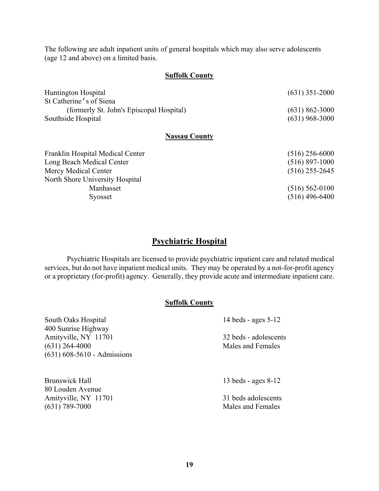The following are adult inpatient units of general hospitals which may also serve adolescents (age 12 and above) on a limited basis.

#### **Suffolk County**

| $(631)$ 351-2000 |
|------------------|
|                  |
| $(631)$ 862-3000 |
| $(631)$ 968-3000 |
|                  |

#### **Nassau County**

| $(516)$ 256-6000   |
|--------------------|
| $(516)$ 897-1000   |
| $(516)$ 255-2645   |
|                    |
| $(516) 562 - 0100$ |
| $(516)$ 496-6400   |
|                    |

# **Psychiatric Hospital**

Psychiatric Hospitals are licensed to provide psychiatric inpatient care and related medical services, but do not have inpatient medical units. They may be operated by a not-for-profit agency or a proprietary (for-profit) agency. Generally, they provide acute and intermediate inpatient care.

# **Suffolk County**

| South Oaks Hospital           | 14 beds - ages $5-12$ |  |
|-------------------------------|-----------------------|--|
| 400 Sunrise Highway           |                       |  |
| Amityville, NY 11701          | 32 beds - adolescents |  |
| $(631)$ 264-4000              | Males and Females     |  |
| $(631)$ 608-5610 - Admissions |                       |  |
|                               |                       |  |
|                               |                       |  |
| Brunswick Hall                | 13 beds - ages $8-12$ |  |
| 80 Louden Avenue              |                       |  |
| Amityville, NY 11701          | 31 beds adolescents   |  |
| $(631)$ 789-7000              | Males and Females     |  |
|                               |                       |  |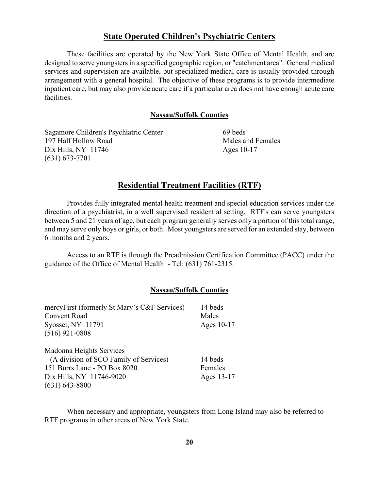#### **State Operated Children's Psychiatric Centers**

These facilities are operated by the New York State Office of Mental Health, and are designed to serve youngsters in a specified geographic region, or "catchment area". General medical services and supervision are available, but specialized medical care is usually provided through arrangement with a general hospital. The objective of these programs is to provide intermediate inpatient care, but may also provide acute care if a particular area does not have enough acute care facilities.

#### **Nassau/Suffolk Counties**

Sagamore Children's Psychiatric Center 69 beds 197 Half Hollow Road **Males** and Females Dix Hills, NY 11746 Ages 10-17 (631) 673-7701

## **Residential Treatment Facilities (RTF)**

Provides fully integrated mental health treatment and special education services under the direction of a psychiatrist, in a well supervised residential setting. RTF's can serve youngsters between 5 and 21 years of age, but each program generally serves only a portion of this total range, and may serve only boys or girls, or both. Most youngsters are served for an extended stay, between 6 months and 2 years.

Access to an RTF is through the Preadmission Certification Committee (PACC) under the guidance of the Office of Mental Health - Tel: (631) 761-2315.

#### **Nassau/Suffolk Counties**

| mercyFirst (formerly St Mary's C&F Services) | 14 beds    |
|----------------------------------------------|------------|
| <b>Convent Road</b>                          | Males      |
| Syosset, NY 11791                            | Ages 10-17 |
| $(516)$ 921-0808                             |            |
| Madonna Heights Services                     |            |
| (A division of SCO Family of Services)       | 14 beds    |
| 151 Burrs Lane - PO Box 8020                 | Females    |
| Dix Hills, NY 11746-9020                     | Ages 13-17 |
| $(631) 643 - 8800$                           |            |

When necessary and appropriate, youngsters from Long Island may also be referred to RTF programs in other areas of New York State.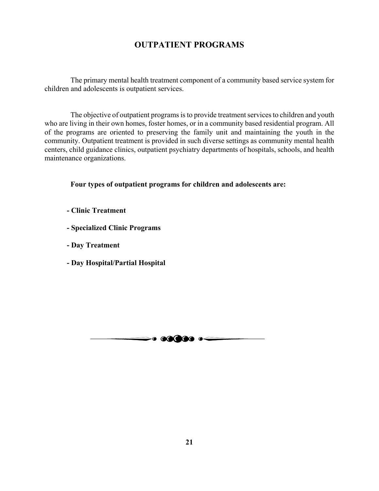# **OUTPATIENT PROGRAMS**

 The primary mental health treatment component of a community based service system for children and adolescents is outpatient services.

 The objective of outpatient programs is to provide treatment services to children and youth who are living in their own homes, foster homes, or in a community based residential program. All of the programs are oriented to preserving the family unit and maintaining the youth in the community. Outpatient treatment is provided in such diverse settings as community mental health centers, child guidance clinics, outpatient psychiatry departments of hospitals, schools, and health maintenance organizations.

 **Four types of outpatient programs for children and adolescents are:** 

- **Clinic Treatment**
- **Specialized Clinic Programs**
- **Day Treatment**
- **Day Hospital/Partial Hospital**

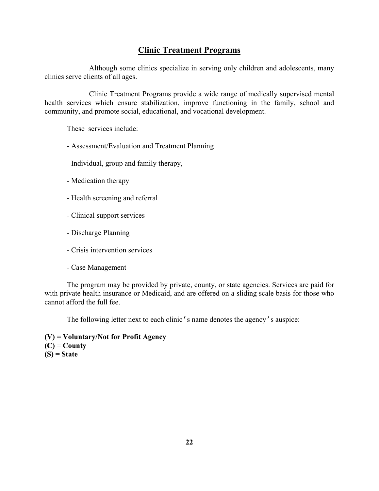# **Clinic Treatment Programs**

Although some clinics specialize in serving only children and adolescents, many clinics serve clients of all ages.

Clinic Treatment Programs provide a wide range of medically supervised mental health services which ensure stabilization, improve functioning in the family, school and community, and promote social, educational, and vocational development.

These services include:

- Assessment/Evaluation and Treatment Planning
- Individual, group and family therapy,
- Medication therapy
- Health screening and referral
- Clinical support services
- Discharge Planning
- Crisis intervention services
- Case Management

The program may be provided by private, county, or state agencies. Services are paid for with private health insurance or Medicaid, and are offered on a sliding scale basis for those who cannot afford the full fee.

The following letter next to each clinic's name denotes the agency's auspice:

**(V) = Voluntary/Not for Profit Agency (C) = County (S) = State**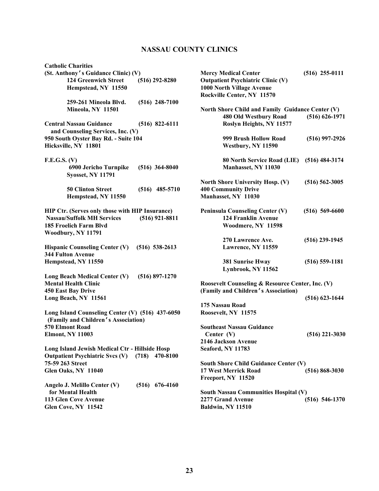# **NASSAU COUNTY CLINICS**

| <b>Catholic Charities</b>                        |                    |                                                  |                    |
|--------------------------------------------------|--------------------|--------------------------------------------------|--------------------|
| (St. Anthony's Guidance Clinic) (V)              |                    | <b>Mercy Medical Center</b>                      | $(516)$ 255-0111   |
| <b>124 Greenwich Street</b>                      | $(516)$ 292-8280   | <b>Outpatient Psychiatric Clinic (V)</b>         |                    |
| Hempstead, NY 11550                              |                    | 1000 North Village Avenue                        |                    |
|                                                  |                    | Rockville Center, NY 11570                       |                    |
| 259-261 Mineola Blvd.                            | $(516)$ 248-7100   |                                                  |                    |
| Mineola, NY 11501                                |                    | North Shore Child and Family Guidance Center (V) |                    |
|                                                  |                    | 480 Old Westbury Road                            | $(516) 626 - 1971$ |
| <b>Central Nassau Guidance</b>                   | $(516)$ 822-6111   | Roslyn Heights, NY 11577                         |                    |
| and Counseling Services, Inc. (V)                |                    |                                                  |                    |
| 950 South Oyster Bay Rd. - Suite 104             |                    | 999 Brush Hollow Road                            | $(516)$ 997-2926   |
| Hicksville, NY 11801                             |                    | Westbury, NY 11590                               |                    |
|                                                  |                    |                                                  |                    |
| F.E.G.S. (V)                                     |                    | 80 North Service Road (LIE)                      | $(516)$ 484-3174   |
| 6900 Jericho Turnpike                            | $(516)$ 364-8040   | Manhasset, NY 11030                              |                    |
| <b>Syosset, NY 11791</b>                         |                    |                                                  |                    |
|                                                  |                    |                                                  |                    |
|                                                  |                    | <b>North Shore University Hosp. (V)</b>          | $(516) 562 - 3005$ |
| <b>50 Clinton Street</b>                         | $(516)$ 485-5710   | <b>400 Community Drive</b>                       |                    |
| Hempstead, NY 11550                              |                    | Manhasset, NY 11030                              |                    |
|                                                  |                    |                                                  |                    |
| HIP Ctr. (Serves only those with HIP Insurance)  |                    | <b>Peninsula Counseling Center (V)</b>           | $(516) 569-6600$   |
| <b>Nassau/Suffolk MH Services</b>                | $(516)$ 921-8811   | <b>124 Franklin Avenue</b>                       |                    |
| 185 Froelich Farm Blvd                           |                    | Woodmere, NY 11598                               |                    |
| Woodbury, NY 11791                               |                    |                                                  |                    |
|                                                  |                    | 270 Lawrence Ave.                                | $(516)$ 239-1945   |
| <b>Hispanic Counseling Center (V)</b>            | $(516) 538-2613$   | Lawrence, NY 11559                               |                    |
| <b>344 Fulton Avenue</b>                         |                    |                                                  |                    |
| Hempstead, NY 11550                              |                    | <b>381 Sunrise Hway</b>                          | $(516) 559-1181$   |
|                                                  |                    | Lynbrook, NY 11562                               |                    |
| Long Beach Medical Center (V)                    | $(516) 897 - 1270$ |                                                  |                    |
| <b>Mental Health Clinic</b>                      |                    | Roosevelt Counseling & Resource Center, Inc. (V) |                    |
| 450 East Bay Drive                               |                    | (Family and Children's Association)              |                    |
| Long Beach, NY 11561                             |                    |                                                  | $(516)$ 623-1644   |
|                                                  |                    | 175 Nassau Road                                  |                    |
| Long Island Counseling Center (V) (516) 437-6050 |                    | Roosevelt, NY 11575                              |                    |
| (Family and Children's Association)              |                    |                                                  |                    |
| 570 Elmont Road                                  |                    | <b>Southeast Nassau Guidance</b>                 |                    |
| <b>Elmont, NY 11003</b>                          |                    | Center $(V)$                                     | $(516)$ 221-3030   |
|                                                  |                    | 2146 Jackson Avenue                              |                    |
| Long Island Jewish Medical Ctr - Hillside Hosp   |                    | Seaford, NY 11783                                |                    |
| <b>Outpatient Psychiatric Svcs (V)</b>           | 470-8100<br>(718)  |                                                  |                    |
| 75-59 263 Street                                 |                    | <b>South Shore Child Guidance Center (V)</b>     |                    |
| Glen Oaks, NY 11040                              |                    | 17 West Merrick Road                             | $(516) 868 - 3030$ |
|                                                  |                    | Freeport, NY 11520                               |                    |
| Angelo J. Melillo Center (V)                     | $(516)$ 676-4160   |                                                  |                    |
| for Mental Health                                |                    | South Nassau Communities Hospital (V)            |                    |
| 113 Glen Cove Avenue                             |                    | 2277 Grand Avenue                                | $(516) 546-1370$   |
| Glen Cove, NY 11542                              |                    | Baldwin, NY 11510                                |                    |
|                                                  |                    |                                                  |                    |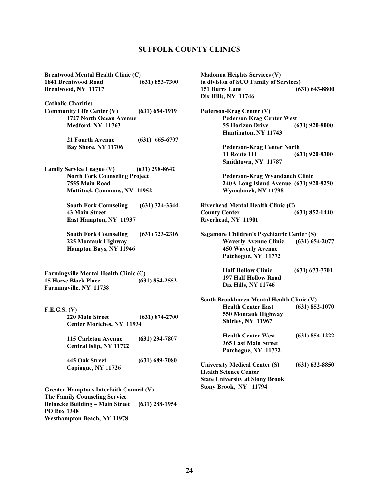#### **SUFFOLK COUNTY CLINICS**

**Brentwood Mental Health Clinic (C) 1841 Brentwood Road (631) 853-7300 Brentwood, NY 11717** 

**Catholic Charities Community Life Center (V) (631) 654-1919 1727 North Ocean Avenue Medford, NY 11763** 

> **21 Fourth Avenue (631) 665-6707 Bay Shore, NY 11706**

**Family Service League (V) (631) 298-8642 North Fork Counseling Project 7555 Main Road Mattituck Commons, NY 11952** 

> **South Fork Counseling (631) 324-3344 43 Main Street East Hampton, NY 11937**

> **South Fork Counseling (631) 723-2316 225 Montauk Highway Hampton Bays, NY 11946**

**Farmingville Mental Health Clinic (C) 15 Horse Block Place (631) 854-2552 Farmingville, NY 11738**

- **F.E.G.S. (V) 220 Main Street (631) 874-2700 Center Moriches, NY 11934** 
	- **115 Carleton Avenue (631) 234-7807 Central Islip, NY 11722**
	- **445 Oak Street (631) 689-7080 Copiague, NY 11726**

**Greater Hamptons Interfaith Council (V) The Family Counseling Service Beinecke Building – Main Street (631) 288-1954 PO Box 1348 Westhampton Beach, NY 11978** 

**Madonna Heights Services (V) (a division of SCO Family of Services) 151 Burrs Lane (631) 643-8800 Dix Hills, NY 11746 Pederson-Krag Center (V)** 

**Pederson Krag Center West 55 Horizon Drive (631) 920-8000 Huntington, NY 11743** 

> **Pederson-Krag Center North 11 Route 111 (631) 920-8300 Smithtown, NY 11787**

> **Pederson-Krag Wyandanch Clinic 240A Long Island Avenue (631) 920-8250 Wyandanch, NY 11798**

- **Riverhead Mental Health Clinic (C) County Center (631) 852-1440 Riverhead, NY 11901**
- **Sagamore Children's Psychiatric Center (S) Waverly Avenue Clinic (631) 654-2077 450 Waverly Avenue Patchogue, NY 11772** 
	- **Half Hollow Clinic (631) 673-7701 197 Half Hollow Road Dix Hills, NY 11746**
- **South Brookhaven Mental Health Clinic (V) Health Center East (631) 852-1070 550 Montauk Highway Shirley, NY 11967**

**Health Center West (631) 854-1222 365 East Main Street Patchogue, NY 11772** 

**University Medical Center (S) (631) 632-8850 Health Science Center State University at Stony Brook Stony Brook, NY 11794**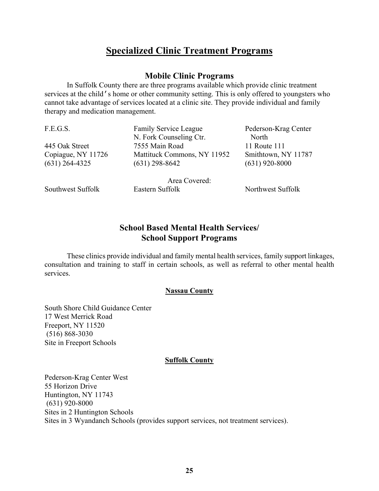# **Specialized Clinic Treatment Programs**

# **Mobile Clinic Programs**

In Suffolk County there are three programs available which provide clinic treatment services at the child's home or other community setting. This is only offered to youngsters who cannot take advantage of services located at a clinic site. They provide individual and family therapy and medication management.

N. Fork Counseling Ctr. North 445 Oak Street 7555 Main Road 11 Route 111 Copiague, NY 11726 Mattituck Commons, NY 11952 Smithtown, NY 11787 (631) 264-4325 (631) 298-8642 (631) 920-8000

Area Covered:

F.E.G.S. Family Service League Pederson-Krag Center

Southwest Suffolk Eastern Suffolk Northwest Suffolk

# **School Based Mental Health Services/ School Support Programs**

These clinics provide individual and family mental health services, family support linkages, consultation and training to staff in certain schools, as well as referral to other mental health services.

# **Nassau County**

South Shore Child Guidance Center 17 West Merrick Road Freeport, NY 11520 (516) 868-3030 Site in Freeport Schools

#### **Suffolk County**

Pederson-Krag Center West 55 Horizon Drive Huntington, NY 11743 (631) 920-8000 Sites in 2 Huntington Schools Sites in 3 Wyandanch Schools (provides support services, not treatment services).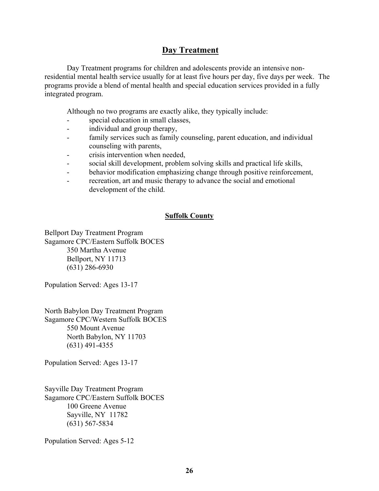# **Day Treatment**

Day Treatment programs for children and adolescents provide an intensive nonresidential mental health service usually for at least five hours per day, five days per week. The programs provide a blend of mental health and special education services provided in a fully integrated program.

Although no two programs are exactly alike, they typically include:

- special education in small classes,
- individual and group therapy,
- family services such as family counseling, parent education, and individual counseling with parents,
- crisis intervention when needed,
- social skill development, problem solving skills and practical life skills,
- behavior modification emphasizing change through positive reinforcement,
- recreation, art and music therapy to advance the social and emotional development of the child.

# **Suffolk County**

Bellport Day Treatment Program Sagamore CPC/Eastern Suffolk BOCES 350 Martha Avenue Bellport, NY 11713 (631) 286-6930

Population Served: Ages 13-17

North Babylon Day Treatment Program Sagamore CPC/Western Suffolk BOCES 550 Mount Avenue North Babylon, NY 11703 (631) 491-4355

Population Served: Ages 13-17

Sayville Day Treatment Program Sagamore CPC/Eastern Suffolk BOCES 100 Greene Avenue Sayville, NY 11782 (631) 567-5834

Population Served: Ages 5-12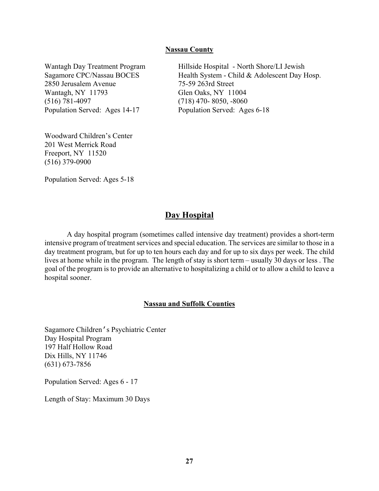#### **Nassau County**

2850 Jerusalem Avenue 75-59 263rd Street Wantagh, NY 11793 Glen Oaks, NY 11004 (516) 781-4097 (718) 470- 8050, -8060 Population Served: Ages 14-17 Population Served: Ages 6-18

Woodward Children's Center 201 West Merrick Road Freeport, NY 11520 (516) 379-0900

Wantagh Day Treatment Program Hillside Hospital - North Shore/LI Jewish Sagamore CPC/Nassau BOCES Health System - Child & Adolescent Day Hosp.

Population Served: Ages 5-18

# **Day Hospital**

A day hospital program (sometimes called intensive day treatment) provides a short-term intensive program of treatment services and special education. The services are similar to those in a day treatment program, but for up to ten hours each day and for up to six days per week. The child lives at home while in the program. The length of stay is short term – usually 30 days or less . The goal of the program is to provide an alternative to hospitalizing a child or to allow a child to leave a hospital sooner.

#### **Nassau and Suffolk Counties**

Sagamore Children's Psychiatric Center Day Hospital Program 197 Half Hollow Road Dix Hills, NY 11746 (631) 673-7856

Population Served: Ages 6 - 17

Length of Stay: Maximum 30 Days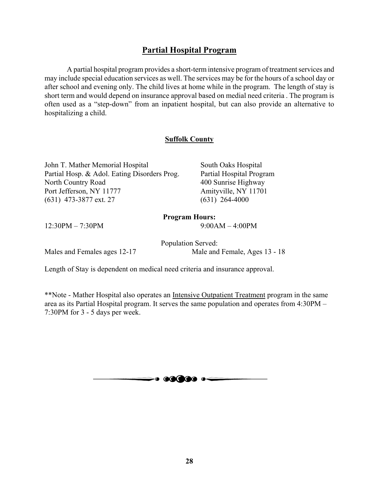# **Partial Hospital Program**

A partial hospital program provides a short-term intensive program of treatment services and may include special education services as well. The services may be for the hours of a school day or after school and evening only. The child lives at home while in the program. The length of stay is short term and would depend on insurance approval based on medial need criteria . The program is often used as a "step-down" from an inpatient hospital, but can also provide an alternative to hospitalizing a child.

# **Suffolk County**

John T. Mather Memorial Hospital South Oaks Hospital Partial Hosp. & Adol. Eating Disorders Prog. Partial Hospital Program North Country Road 400 Sunrise Highway Port Jefferson, NY 11777 Amityville, NY 11701 (631) 473-3877 ext. 27 (631) 264-4000

# **Program Hours:**

12:30PM – 7:30PM – 9:00AM – 4:00PM

Population Served: Males and Females ages 12-17 Male and Female, Ages 13 - 18

Length of Stay is dependent on medical need criteria and insurance approval.

\*\*Note - Mather Hospital also operates an Intensive Outpatient Treatment program in the same area as its Partial Hospital program. It serves the same population and operates from 4:30PM – 7:30PM for 3 - 5 days per week.

 $\Longrightarrow$  60000  $\circ$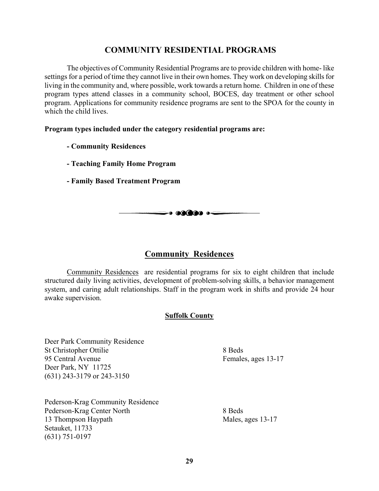# **COMMUNITY RESIDENTIAL PROGRAMS**

The objectives of Community Residential Programs are to provide children with home- like settings for a period of time they cannot live in their own homes. They work on developing skills for living in the community and, where possible, work towards a return home. Children in one of these program types attend classes in a community school, BOCES, day treatment or other school program. Applications for community residence programs are sent to the SPOA for the county in which the child lives.

#### **Program types included under the category residential programs are:**

- **Community Residences**
- **Teaching Family Home Program**
- **Family Based Treatment Program**

# **Community Residences**

 $\Longrightarrow$  and to  $\longleftarrow$ 

Community Residences are residential programs for six to eight children that include structured daily living activities, development of problem-solving skills, a behavior management system, and caring adult relationships. Staff in the program work in shifts and provide 24 hour awake supervision.

# **Suffolk County**

Deer Park Community Residence St Christopher Ottilie 8 Beds 95 Central Avenue Females, ages 13-17 Deer Park, NY 11725 (631) 243-3179 or 243-3150

Pederson-Krag Community Residence Pederson-Krag Center North 8 Beds 13 Thompson Haypath Males, ages 13-17 Setauket, 11733 (631) 751-0197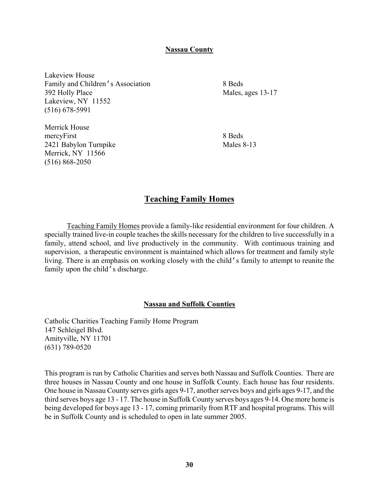#### **Nassau County**

Lakeview House Family and Children's Association 8 Beds 392 Holly Place Males, ages 13-17 Lakeview, NY 11552 (516) 678-5991

Merrick House mercyFirst 8 Beds 2421 Babylon Turnpike Males 8-13 Merrick, NY 11566 (516) 868-2050

# **Teaching Family Homes**

Teaching Family Homes provide a family-like residential environment for four children. A specially trained live-in couple teaches the skills necessary for the children to live successfully in a family, attend school, and live productively in the community. With continuous training and supervision, a therapeutic environment is maintained which allows for treatment and family style living. There is an emphasis on working closely with the child's family to attempt to reunite the family upon the child's discharge.

#### **Nassau and Suffolk Counties**

Catholic Charities Teaching Family Home Program 147 Schleigel Blvd. Amityville, NY 11701 (631) 789-0520

This program is run by Catholic Charities and serves both Nassau and Suffolk Counties. There are three houses in Nassau County and one house in Suffolk County. Each house has four residents. One house in Nassau County serves girls ages 9-17, another serves boys and girls ages 9-17, and the third serves boys age 13 - 17. The house in Suffolk County serves boys ages 9-14. One more home is being developed for boys age 13 - 17, coming primarily from RTF and hospital programs. This will be in Suffolk County and is scheduled to open in late summer 2005.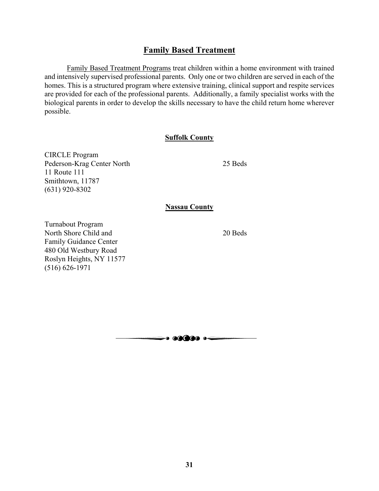# **Family Based Treatment**

Family Based Treatment Programs treat children within a home environment with trained and intensively supervised professional parents. Only one or two children are served in each of the homes. This is a structured program where extensive training, clinical support and respite services are provided for each of the professional parents. Additionally, a family specialist works with the biological parents in order to develop the skills necessary to have the child return home wherever possible.

#### **Suffolk County**

CIRCLE Program Pederson-Krag Center North 25 Beds 11 Route 111 Smithtown, 11787 (631) 920-8302

#### **Nassau County**

Turnabout Program North Shore Child and 20 Beds Family Guidance Center 480 Old Westbury Road Roslyn Heights, NY 11577 (516) 626-1971

 $\rightarrow$ . 60000  $\rightarrow$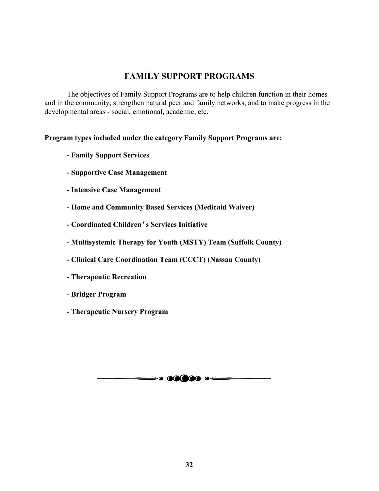# **FAMILY SUPPORT PROGRAMS**

The objectives of Family Support Programs are to help children function in their homes and in the community, strengthen natural peer and family networks, and to make progress in the developmental areas - social, emotional, academic, etc.

## **Program types included under the category Family Support Programs are:**

- **Family Support Services**
- **Supportive Case Management**
- **Intensive Case Management**
- **Home and Community Based Services (Medicaid Waiver)**
- **Coordinated Children's Services Initiative**
- **Multisystemic Therapy for Youth (MSTY) Team (Suffolk County)**
- **Clinical Care Coordination Team (CCCT) (Nassau County)**
- **Therapeutic Recreation**
- **Bridger Program**
- **Therapeutic Nursery Program**

 $\Longrightarrow$  60000  $\circ$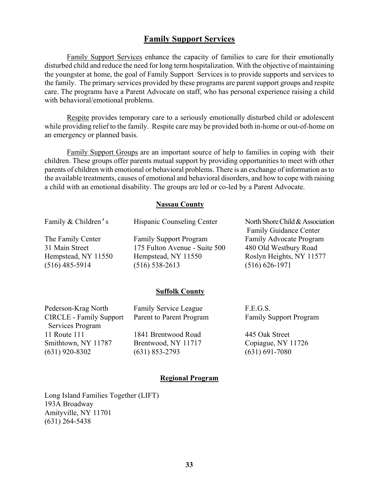# **Family Support Services**

Family Support Services enhance the capacity of families to care for their emotionally disturbed child and reduce the need for long term hospitalization. With the objective of maintaining the youngster at home, the goal of Family Support Services is to provide supports and services to the family. The primary services provided by these programs are parent support groups and respite care. The programs have a Parent Advocate on staff, who has personal experience raising a child with behavioral/emotional problems.

 Respite provides temporary care to a seriously emotionally disturbed child or adolescent while providing relief to the family. Respite care may be provided both in-home or out-of-home on an emergency or planned basis.

Family Support Groups are an important source of help to families in coping with their children. These groups offer parents mutual support by providing opportunities to meet with other parents of children with emotional or behavioral problems. There is an exchange of information as to the available treatments, causes of emotional and behavioral disorders, and how to cope with raising a child with an emotional disability. The groups are led or co-led by a Parent Advocate.

#### **Nassau County**

| Family & Children's | Hispanic Counseling Center    | North Shore Child & Association |
|---------------------|-------------------------------|---------------------------------|
|                     |                               | <b>Family Guidance Center</b>   |
| The Family Center   | <b>Family Support Program</b> | Family Advocate Program         |
| 31 Main Street      | 175 Fulton Avenue - Suite 500 | 480 Old Westbury Road           |
| Hempstead, NY 11550 | Hempstead, NY 11550           | Roslyn Heights, NY 11577        |
| $(516)$ 485-5914    | $(516) 538 - 2613$            | $(516) 626 - 1971$              |
|                     |                               |                                 |

#### **Suffolk County**

| <b>Family Service League</b> | F.E.G.S.                      |
|------------------------------|-------------------------------|
| Parent to Parent Program     | <b>Family Support Program</b> |
|                              |                               |
| 1841 Brentwood Road          | 445 Oak Street                |
| Brentwood, NY 11717          | Copiague, NY 11726            |
| $(631)$ 853-2793             | $(631) 691 - 7080$            |
|                              |                               |
|                              |                               |

#### **Regional Program**

Long Island Families Together (LIFT) 193A Broadway Amityville, NY 11701 (631) 264-5438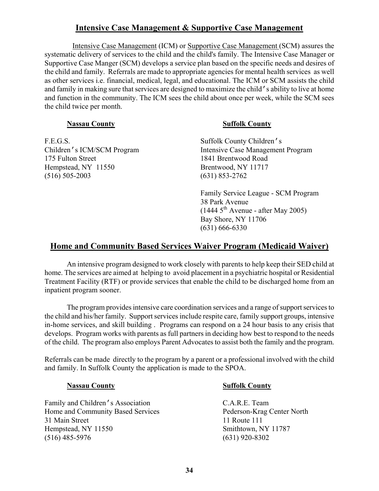# **Intensive Case Management & Supportive Case Management**

 Intensive Case Management (ICM) or Supportive Case Management (SCM) assures the systematic delivery of services to the child and the child's family. The Intensive Case Manager or Supportive Case Manger (SCM) develops a service plan based on the specific needs and desires of the child and family. Referrals are made to appropriate agencies for mental health services as well as other services i.e. financial, medical, legal, and educational. The ICM or SCM assists the child and family in making sure that services are designed to maximize the child's ability to live at home and function in the community. The ICM sees the child about once per week, while the SCM sees the child twice per month.

## **Nassau County** Suffolk County

F.E.G.S. Suffolk County Children's 175 Fulton Street 1841 Brentwood Road Hempstead, NY 11550 Brentwood, NY 11717 (516) 505-2003 (631) 853-2762

Children's ICM/SCM Program Intensive Case Management Program

Family Service League - SCM Program 38 Park Avenue  $(1444 5<sup>th</sup>$  Avenue - after May 2005) Bay Shore, NY 11706 (631) 666-6330

# **Home and Community Based Services Waiver Program (Medicaid Waiver)**

An intensive program designed to work closely with parents to help keep their SED child at home. The services are aimed at helping to avoid placement in a psychiatric hospital or Residential Treatment Facility (RTF) or provide services that enable the child to be discharged home from an inpatient program sooner.

The program provides intensive care coordination services and a range of support services to the child and his/her family. Support services include respite care, family support groups, intensive in-home services, and skill building . Programs can respond on a 24 hour basis to any crisis that develops. Program works with parents as full partners in deciding how best to respond to the needs of the child. The program also employs Parent Advocates to assist both the family and the program.

Referrals can be made directly to the program by a parent or a professional involved with the child and family. In Suffolk County the application is made to the SPOA.

Family and Children's Association C.A.R.E. Team Home and Community Based Services Pederson-Krag Center North 31 Main Street 11 Route 111 Hempstead, NY 11550 Smithtown, NY 11787 (516) 485-5976 (631) 920-8302

# **Nassau County Suffolk County**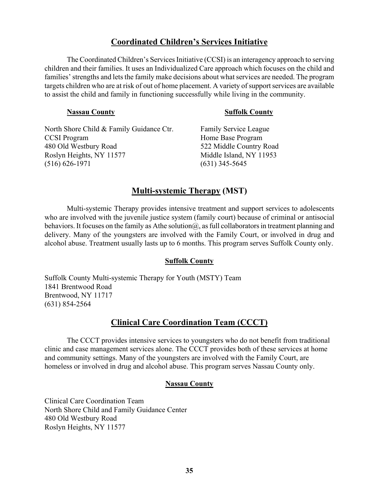# **Coordinated Children's Services Initiative**

The Coordinated Children's Services Initiative (CCSI) is an interagency approach to serving children and their families. It uses an Individualized Care approach which focuses on the child and families' strengths and lets the family make decisions about what services are needed. The program targets children who are at risk of out of home placement. A variety of support services are available to assist the child and family in functioning successfully while living in the community.

# **Nassau County 5 and Suffolk County 19 and Suffolk County** North Shore Child & Family Guidance Ctr. Family Service League CCSI Program Home Base Program 480 Old Westbury Road 522 Middle Country Road Roslyn Heights, NY 11577 Middle Island, NY 11953 (516) 626-1971 (631) 345-5645

# **Multi-systemic Therapy (MST)**

Multi-systemic Therapy provides intensive treatment and support services to adolescents who are involved with the juvenile justice system (family court) because of criminal or antisocial behaviors. It focuses on the family as Athe solution  $\hat{\omega}$ , as full collaborators in treatment planning and delivery. Many of the youngsters are involved with the Family Court, or involved in drug and alcohol abuse. Treatment usually lasts up to 6 months. This program serves Suffolk County only.

# **Suffolk County**

Suffolk County Multi-systemic Therapy for Youth (MSTY) Team 1841 Brentwood Road Brentwood, NY 11717 (631) 854-2564

# **Clinical Care Coordination Team (CCCT)**

The CCCT provides intensive services to youngsters who do not benefit from traditional clinic and case management services alone. The CCCT provides both of these services at home and community settings. Many of the youngsters are involved with the Family Court, are homeless or involved in drug and alcohol abuse. This program serves Nassau County only.

# **Nassau County**

Clinical Care Coordination Team North Shore Child and Family Guidance Center 480 Old Westbury Road Roslyn Heights, NY 11577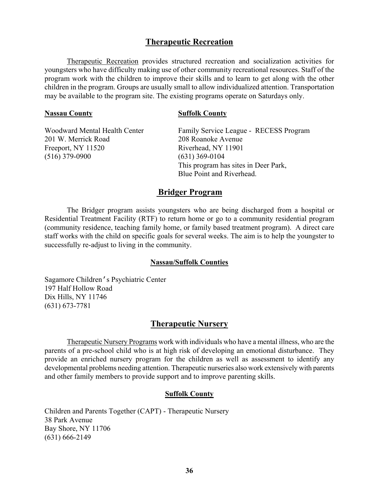# **Therapeutic Recreation**

Therapeutic Recreation provides structured recreation and socialization activities for youngsters who have difficulty making use of other community recreational resources. Staff of the program work with the children to improve their skills and to learn to get along with the other children in the program. Groups are usually small to allow individualized attention. Transportation may be available to the program site. The existing programs operate on Saturdays only.

#### **Nassau County Suffolk County**

| <b>Woodward Mental Health Center</b> | Family Service League - RECESS Program |
|--------------------------------------|----------------------------------------|
| 201 W. Merrick Road                  | 208 Roanoke Avenue                     |
| Freeport, NY 11520                   | Riverhead, NY 11901                    |
| $(516)$ 379-0900                     | $(631)$ 369-0104                       |
|                                      | This program has sites in Deer Park,   |
|                                      | Blue Point and Riverhead.              |

# **Bridger Program**

The Bridger program assists youngsters who are being discharged from a hospital or Residential Treatment Facility (RTF) to return home or go to a community residential program (community residence, teaching family home, or family based treatment program). A direct care staff works with the child on specific goals for several weeks. The aim is to help the youngster to successfully re-adjust to living in the community.

#### **Nassau/Suffolk Counties**

Sagamore Children's Psychiatric Center 197 Half Hollow Road Dix Hills, NY 11746 (631) 673-7781

#### **Therapeutic Nursery**

Therapeutic Nursery Programs work with individuals who have a mental illness, who are the parents of a pre-school child who is at high risk of developing an emotional disturbance. They provide an enriched nursery program for the children as well as assessment to identify any developmental problems needing attention. Therapeutic nurseries also work extensively with parents and other family members to provide support and to improve parenting skills.

#### **Suffolk County**

Children and Parents Together (CAPT) - Therapeutic Nursery 38 Park Avenue Bay Shore, NY 11706 (631) 666-2149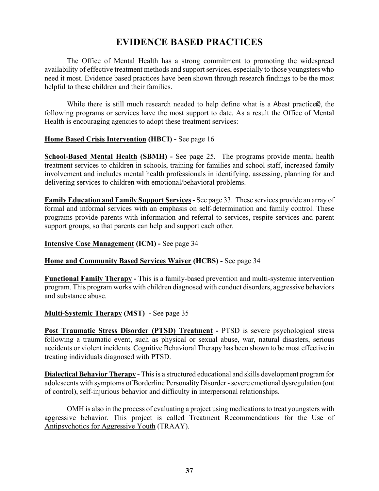# **EVIDENCE BASED PRACTICES**

The Office of Mental Health has a strong commitment to promoting the widespread availability of effective treatment methods and support services, especially to those youngsters who need it most. Evidence based practices have been shown through research findings to be the most helpful to these children and their families.

While there is still much research needed to help define what is a Abest practice@, the following programs or services have the most support to date. As a result the Office of Mental Health is encouraging agencies to adopt these treatment services:

## **Home Based Crisis Intervention (HBCI) -** See page 16

**School-Based Mental Health (SBMH) -** See page 25. The programs provide mental health treatment services to children in schools, training for families and school staff, increased family involvement and includes mental health professionals in identifying, assessing, planning for and delivering services to children with emotional/behavioral problems.

**Family Education and Family Support Services -** See page 33. These services provide an array of formal and informal services with an emphasis on self-determination and family control. These programs provide parents with information and referral to services, respite services and parent support groups, so that parents can help and support each other.

#### **Intensive Case Management (ICM) -** See page 34

# **Home and Community Based Services Waiver (HCBS) -** See page 34

**Functional Family Therapy -** This is a family-based prevention and multi-systemic intervention program. This program works with children diagnosed with conduct disorders, aggressive behaviors and substance abuse.

# **Multi-Systemic Therapy (MST) -** See page 35

**Post Traumatic Stress Disorder (PTSD) Treatment - PTSD is severe psychological stress** following a traumatic event, such as physical or sexual abuse, war, natural disasters, serious accidents or violent incidents. Cognitive Behavioral Therapy has been shown to be most effective in treating individuals diagnosed with PTSD.

**Dialectical Behavior Therapy -** This is a structured educational and skills development program for adolescents with symptoms of Borderline Personality Disorder - severe emotional dysregulation (out of control), self-injurious behavior and difficulty in interpersonal relationships.

OMH is also in the process of evaluating a project using medications to treat youngsters with aggressive behavior. This project is called Treatment Recommendations for the Use of Antipsychotics for Aggressive Youth (TRAAY).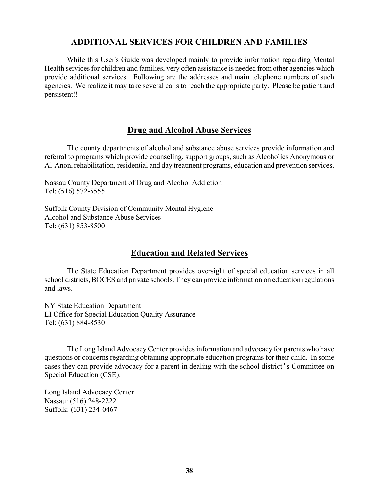# **ADDITIONAL SERVICES FOR CHILDREN AND FAMILIES**

While this User's Guide was developed mainly to provide information regarding Mental Health services for children and families, very often assistance is needed from other agencies which provide additional services. Following are the addresses and main telephone numbers of such agencies. We realize it may take several calls to reach the appropriate party. Please be patient and persistent!!

# **Drug and Alcohol Abuse Services**

The county departments of alcohol and substance abuse services provide information and referral to programs which provide counseling, support groups, such as Alcoholics Anonymous or Al-Anon, rehabilitation, residential and day treatment programs, education and prevention services.

Nassau County Department of Drug and Alcohol Addiction Tel: (516) 572-5555

Suffolk County Division of Community Mental Hygiene Alcohol and Substance Abuse Services Tel: (631) 853-8500

# **Education and Related Services**

The State Education Department provides oversight of special education services in all school districts, BOCES and private schools. They can provide information on education regulations and laws.

NY State Education Department LI Office for Special Education Quality Assurance Tel: (631) 884-8530

The Long Island Advocacy Center provides information and advocacy for parents who have questions or concerns regarding obtaining appropriate education programs for their child. In some cases they can provide advocacy for a parent in dealing with the school district's Committee on Special Education (CSE).

Long Island Advocacy Center Nassau: (516) 248-2222 Suffolk: (631) 234-0467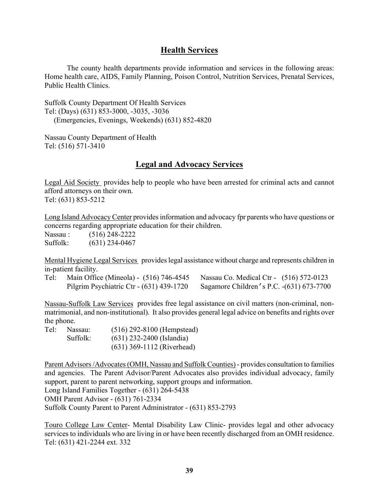# **Health Services**

The county health departments provide information and services in the following areas: Home health care, AIDS, Family Planning, Poison Control, Nutrition Services, Prenatal Services, Public Health Clinics.

Suffolk County Department Of Health Services Tel: (Days) (631) 853-3000, -3035, -3036 (Emergencies, Evenings, Weekends) (631) 852-4820

Nassau County Department of Health Tel: (516) 571-3410

# **Legal and Advocacy Services**

Legal Aid Society provides help to people who have been arrested for criminal acts and cannot afford attorneys on their own. Tel: (631) 853-5212

Long Island Advocacy Center provides information and advocacy fpr parents who have questions or concerns regarding appropriate education for their children.

Nassau : (516) 248-2222 Suffolk: (631) 234-0467

Mental Hygiene Legal Services provides legal assistance without charge and represents children in in-patient facility.

Tel: Main Office (Mineola) - (516) 746-4545 Nassau Co. Medical Ctr - (516) 572-0123 Pilgrim Psychiatric Ctr - (631) 439-1720 Sagamore Children's P.C. -(631) 673-7700

Nassau-Suffolk Law Services provides free legal assistance on civil matters (non-criminal, nonmatrimonial, and non-institutional). It also provides general legal advice on benefits and rights over the phone.

| Tel: | Nassau:  | $(516)$ 292-8100 (Hempstead) |
|------|----------|------------------------------|
|      | Suffolk: | $(631)$ 232-2400 (Islandia)  |
|      |          | $(631)$ 369-1112 (Riverhead) |

Parent Advisors /Advocates (OMH, Nassau and Suffolk Counties) - provides consultation to families and agencies. The Parent Advisor/Parent Advocates also provides individual advocacy, family support, parent to parent networking, support groups and information.

Long Island Families Together - (631) 264-5438

OMH Parent Advisor - (631) 761-2334

Suffolk County Parent to Parent Administrator - (631) 853-2793

Touro College Law Center- Mental Disability Law Clinic- provides legal and other advocacy services to individuals who are living in or have been recently discharged from an OMH residence. Tel: (631) 421-2244 ext. 332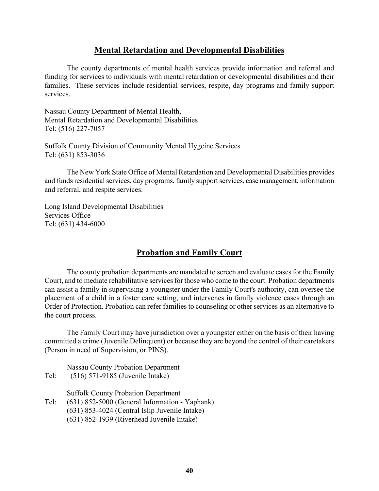# **Mental Retardation and Developmental Disabilities**

The county departments of mental health services provide information and referral and funding for services to individuals with mental retardation or developmental disabilities and their families. These services include residential services, respite, day programs and family support services.

Nassau County Department of Mental Health, Mental Retardation and Developmental Disabilities Tel: (516) 227-7057

Suffolk County Division of Community Mental Hygeine Services Tel: (631) 853-3036

The New York State Office of Mental Retardation and Developmental Disabilities provides and funds residential services, day programs, family support services, case management, information and referral, and respite services.

Long Island Developmental Disabilities Services Office Tel: (631) 434-6000

# **Probation and Family Court**

The county probation departments are mandated to screen and evaluate cases for the Family Court, and to mediate rehabilitative services for those who come to the court. Probation departments can assist a family in supervising a youngster under the Family Court's authority, can oversee the placement of a child in a foster care setting, and intervenes in family violence cases through an Order of Protection. Probation can refer families to counseling or other services as an alternative to the court process.

The Family Court may have jurisdiction over a youngster either on the basis of their having committed a crime (Juvenile Delinquent) or because they are beyond the control of their caretakers (Person in need of Supervision, or PINS).

Nassau County Probation Department Tel: (516) 571-9185 (Juvenile Intake)

Suffolk County Probation Department

- Tel: (631) 852-5000 (General Information Yaphank)
	- (631) 853-4024 (Central Islip Juvenile Intake)
	- (631) 852-1939 (Riverhead Juvenile Intake)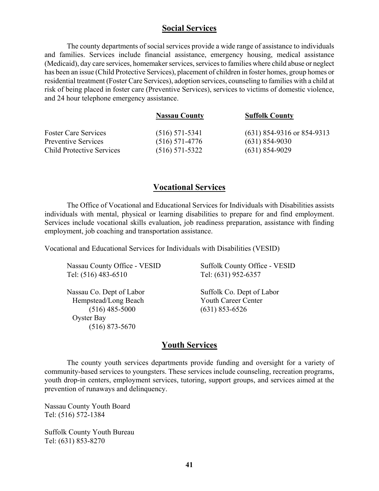# **Social Services**

The county departments of social services provide a wide range of assistance to individuals and families. Services include financial assistance, emergency housing, medical assistance (Medicaid), day care services, homemaker services, services to families where child abuse or neglect has been an issue (Child Protective Services), placement of children in foster homes, group homes or residential treatment (Foster Care Services), adoption services, counseling to families with a child at risk of being placed in foster care (Preventive Services), services to victims of domestic violence, and 24 hour telephone emergency assistance.

|                                  | <b>Nassau County</b> | <b>Suffolk County</b>        |
|----------------------------------|----------------------|------------------------------|
| <b>Foster Care Services</b>      | $(516)$ 571-5341     | $(631)$ 854-9316 or 854-9313 |
| <b>Preventive Services</b>       | $(516)$ 571-4776     | $(631)$ 854-9030             |
| <b>Child Protective Services</b> | $(516)$ 571-5322     | $(631)$ 854-9029             |

# **Vocational Services**

The Office of Vocational and Educational Services for Individuals with Disabilities assists individuals with mental, physical or learning disabilities to prepare for and find employment. Services include vocational skills evaluation, job readiness preparation, assistance with finding employment, job coaching and transportation assistance.

Vocational and Educational Services for Individuals with Disabilities (VESID)

| Nassau County Office - VESID | Suffolk County Office - VESID |
|------------------------------|-------------------------------|
| Tel: (516) 483-6510          | Tel: (631) 952-6357           |
| Nassau Co. Dept of Labor     | Suffolk Co. Dept of Labor     |
| Hempstead/Long Beach         | <b>Youth Career Center</b>    |
| $(516)$ 485-5000             | $(631)$ 853-6526              |
| Oyster Bay                   |                               |
| $(516)$ 873-5670             |                               |
|                              |                               |

# **Youth Services**

The county youth services departments provide funding and oversight for a variety of community-based services to youngsters. These services include counseling, recreation programs, youth drop-in centers, employment services, tutoring, support groups, and services aimed at the prevention of runaways and delinquency.

Nassau County Youth Board Tel: (516) 572-1384

Suffolk County Youth Bureau Tel: (631) 853-8270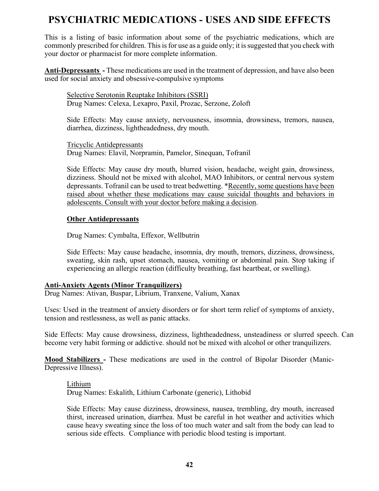# **PSYCHIATRIC MEDICATIONS - USES AND SIDE EFFECTS**

This is a listing of basic information about some of the psychiatric medications, which are commonly prescribed for children. This is for use as a guide only; it is suggested that you check with your doctor or pharmacist for more complete information.

**Anti-Depressants -** These medications are used in the treatment of depression, and have also been used for social anxiety and obsessive-compulsive symptoms

Selective Serotonin Reuptake Inhibitors (SSRI) Drug Names: Celexa, Lexapro, Paxil, Prozac, Serzone, Zoloft

Side Effects: May cause anxiety, nervousness, insomnia, drowsiness, tremors, nausea, diarrhea, dizziness, lightheadedness, dry mouth.

Tricyclic Antidepressants Drug Names: Elavil, Norpramin, Pamelor, Sinequan, Tofranil

Side Effects: May cause dry mouth, blurred vision, headache, weight gain, drowsiness, dizziness. Should not be mixed with alcohol, MAO Inhibitors, or central nervous system depressants. Tofranil can be used to treat bedwetting. \*Recently, some questions have been raised about whether these medications may cause suicidal thoughts and behaviors in adolescents. Consult with your doctor before making a decision.

## **Other Antidepressants**

Drug Names: Cymbalta, Effexor, Wellbutrin

Side Effects: May cause headache, insomnia, dry mouth, tremors, dizziness, drowsiness, sweating, skin rash, upset stomach, nausea, vomiting or abdominal pain. Stop taking if experiencing an allergic reaction (difficulty breathing, fast heartbeat, or swelling).

# **Anti-Anxiety Agents (Minor Tranquilizers)**

Drug Names: Ativan, Buspar, Librium, Tranxene, Valium, Xanax

Uses: Used in the treatment of anxiety disorders or for short term relief of symptoms of anxiety, tension and restlessness, as well as panic attacks.

Side Effects: May cause drowsiness, dizziness, lightheadedness, unsteadiness or slurred speech. Can become very habit forming or addictive. should not be mixed with alcohol or other tranquilizers.

**Mood Stabilizers -** These medications are used in the control of Bipolar Disorder (Manic-Depressive Illness).

Lithium

Drug Names: Eskalith, Lithium Carbonate (generic), Lithobid

Side Effects: May cause dizziness, drowsiness, nausea, trembling, dry mouth, increased thirst, increased urination, diarrhea. Must be careful in hot weather and activities which cause heavy sweating since the loss of too much water and salt from the body can lead to serious side effects. Compliance with periodic blood testing is important.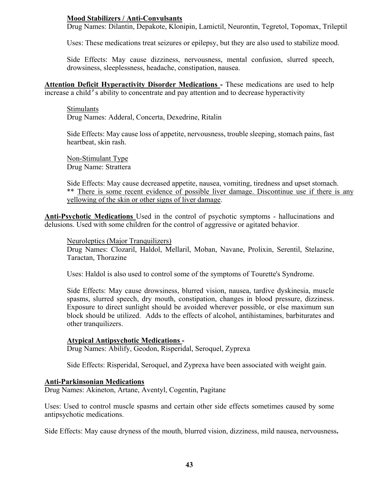# **Mood Stabilizers / Anti-Convulsants**

Drug Names: Dilantin, Depakote, Klonipin, Lamictil, Neurontin, Tegretol, Topomax, Trileptil

Uses: These medications treat seizures or epilepsy, but they are also used to stabilize mood.

Side Effects: May cause dizziness, nervousness, mental confusion, slurred speech, drowsiness, sleeplessness, headache, constipation, nausea.

**Attention Deficit Hyperactivity Disorder Medications -** These medications are used to help increase a child's ability to concentrate and pay attention and to decrease hyperactivity

Stimulants Drug Names: Adderal, Concerta, Dexedrine, Ritalin

Side Effects: May cause loss of appetite, nervousness, trouble sleeping, stomach pains, fast heartbeat, skin rash.

Non-Stimulant Type Drug Name: Strattera

Side Effects: May cause decreased appetite, nausea, vomiting, tiredness and upset stomach. \*\* There is some recent evidence of possible liver damage. Discontinue use if there is any yellowing of the skin or other signs of liver damage.

**Anti-Psychotic Medications** Used in the control of psychotic symptoms - hallucinations and delusions. Used with some children for the control of aggressive or agitated behavior.

Neuroleptics (Major Tranquilizers)

Drug Names: Clozaril, Haldol, Mellaril, Moban, Navane, Prolixin, Serentil, Stelazine, Taractan, Thorazine

Uses: Haldol is also used to control some of the symptoms of Tourette's Syndrome.

Side Effects: May cause drowsiness, blurred vision, nausea, tardive dyskinesia, muscle spasms, slurred speech, dry mouth, constipation, changes in blood pressure, dizziness. Exposure to direct sunlight should be avoided wherever possible, or else maximum sun block should be utilized. Adds to the effects of alcohol, antihistamines, barbiturates and other tranquilizers.

#### **Atypical Antipsychotic Medications -**

Drug Names: Abilify, Geodon, Risperidal, Seroquel, Zyprexa

Side Effects: Risperidal, Seroquel, and Zyprexa have been associated with weight gain.

#### **Anti-Parkinsonian Medications**

Drug Names: Akineton, Artane, Aventyl, Cogentin, Pagitane

Uses: Used to control muscle spasms and certain other side effects sometimes caused by some antipsychotic medications.

Side Effects: May cause dryness of the mouth, blurred vision, dizziness, mild nausea, nervousness**.**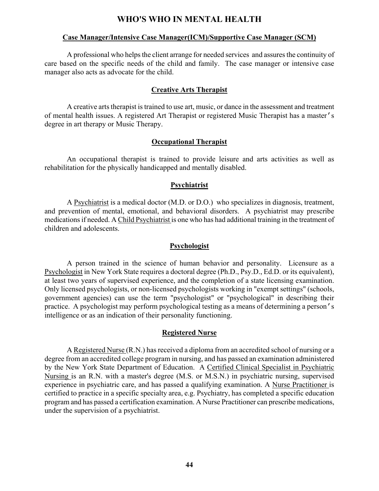# **WHO'S WHO IN MENTAL HEALTH**

#### **Case Manager/Intensive Case Manager(ICM)/Supportive Case Manager (SCM)**

A professional who helps the client arrange for needed services and assures the continuity of care based on the specific needs of the child and family. The case manager or intensive case manager also acts as advocate for the child.

#### **Creative Arts Therapist**

A creative arts therapist is trained to use art, music, or dance in the assessment and treatment of mental health issues. A registered Art Therapist or registered Music Therapist has a master's degree in art therapy or Music Therapy.

#### **Occupational Therapist**

An occupational therapist is trained to provide leisure and arts activities as well as rehabilitation for the physically handicapped and mentally disabled.

#### **Psychiatrist**

A Psychiatrist is a medical doctor (M.D. or D.O.) who specializes in diagnosis, treatment, and prevention of mental, emotional, and behavioral disorders. A psychiatrist may prescribe medications if needed. A Child Psychiatrist is one who has had additional training in the treatment of children and adolescents.

#### **Psychologist**

A person trained in the science of human behavior and personality. Licensure as a Psychologist in New York State requires a doctoral degree (Ph.D., Psy.D., Ed.D. or its equivalent), at least two years of supervised experience, and the completion of a state licensing examination. Only licensed psychologists, or non-licensed psychologists working in "exempt settings" (schools, government agencies) can use the term "psychologist" or "psychological" in describing their practice. A psychologist may perform psychological testing as a means of determining a person's intelligence or as an indication of their personality functioning.

#### **Registered Nurse**

A Registered Nurse (R.N.) has received a diploma from an accredited school of nursing or a degree from an accredited college program in nursing, and has passed an examination administered by the New York State Department of Education. A Certified Clinical Specialist in Psychiatric Nursing is an R.N. with a master's degree (M.S. or M.S.N.) in psychiatric nursing, supervised experience in psychiatric care, and has passed a qualifying examination. A Nurse Practitioner is certified to practice in a specific specialty area, e.g. Psychiatry, has completed a specific education program and has passed a certification examination. A Nurse Practitioner can prescribe medications, under the supervision of a psychiatrist.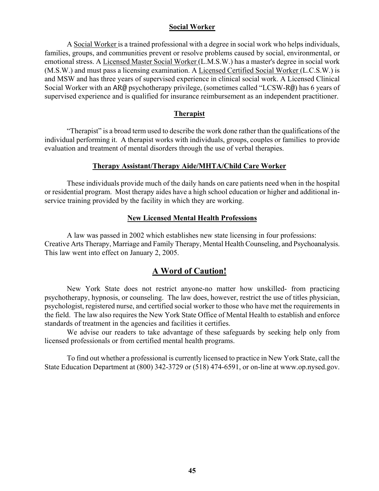#### **Social Worker**

A Social Worker is a trained professional with a degree in social work who helps individuals, families, groups, and communities prevent or resolve problems caused by social, environmental, or emotional stress. A Licensed Master Social Worker (L.M.S.W.) has a master's degree in social work (M.S.W.) and must pass a licensing examination. A Licensed Certified Social Worker (L.C.S.W.) is and MSW and has three years of supervised experience in clinical social work. A Licensed Clinical Social Worker with an AR@ psychotherapy privilege, (sometimes called "LCSW-R@) has 6 years of supervised experience and is qualified for insurance reimbursement as an independent practitioner.

#### **Therapist**

"Therapist" is a broad term used to describe the work done rather than the qualifications of the individual performing it. A therapist works with individuals, groups, couples or families to provide evaluation and treatment of mental disorders through the use of verbal therapies.

#### **Therapy Assistant/Therapy Aide/MHTA/Child Care Worker**

These individuals provide much of the daily hands on care patients need when in the hospital or residential program. Most therapy aides have a high school education or higher and additional inservice training provided by the facility in which they are working.

#### **New Licensed Mental Health Professions**

A law was passed in 2002 which establishes new state licensing in four professions: Creative Arts Therapy, Marriage and Family Therapy, Mental Health Counseling, and Psychoanalysis. This law went into effect on January 2, 2005.

# **A Word of Caution!**

New York State does not restrict anyone-no matter how unskilled- from practicing psychotherapy, hypnosis, or counseling. The law does, however, restrict the use of titles physician, psychologist, registered nurse, and certified social worker to those who have met the requirements in the field. The law also requires the New York State Office of Mental Health to establish and enforce standards of treatment in the agencies and facilities it certifies.

We advise our readers to take advantage of these safeguards by seeking help only from licensed professionals or from certified mental health programs.

To find out whether a professional is currently licensed to practice in New York State, call the State Education Department at (800) 342-3729 or (518) 474-6591, or on-line at www.op.nysed.gov.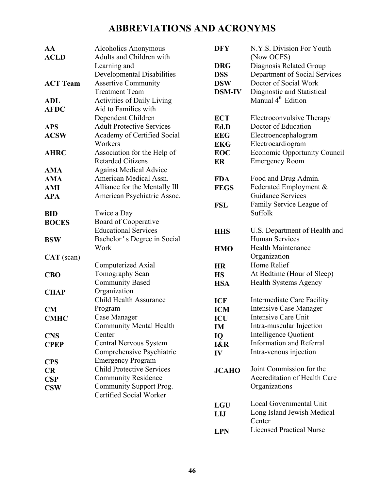# **ABBREVIATIONS AND ACRONYMS**

| AA              | Alcoholics Anonymous              | <b>DFY</b>    | N.Y.S. Division For Youth           |
|-----------------|-----------------------------------|---------------|-------------------------------------|
| <b>ACLD</b>     | Adults and Children with          |               | (Now OCFS)                          |
|                 | Learning and                      | <b>DRG</b>    | Diagnosis Related Group             |
|                 | Developmental Disabilities        | <b>DSS</b>    | Department of Social Services       |
| <b>ACT Team</b> | <b>Assertive Community</b>        | <b>DSW</b>    | Doctor of Social Work               |
|                 | <b>Treatment Team</b>             | <b>DSM-IV</b> | Diagnostic and Statistical          |
| <b>ADL</b>      | <b>Activities of Daily Living</b> |               | Manual 4 <sup>th</sup> Edition      |
| <b>AFDC</b>     | Aid to Families with              |               |                                     |
|                 | Dependent Children                | <b>ECT</b>    | Electroconvulsive Therapy           |
| <b>APS</b>      | <b>Adult Protective Services</b>  | Ed.D          | Doctor of Education                 |
| <b>ACSW</b>     | Academy of Certified Social       | <b>EEG</b>    | Electroencephalogram                |
|                 | Workers                           | <b>EKG</b>    | Electrocardiogram                   |
| <b>AHRC</b>     | Association for the Help of       | <b>EOC</b>    | <b>Economic Opportunity Council</b> |
|                 | <b>Retarded Citizens</b>          | ER            | <b>Emergency Room</b>               |
| <b>AMA</b>      | <b>Against Medical Advice</b>     |               |                                     |
| <b>AMA</b>      | American Medical Assn.            | <b>FDA</b>    | Food and Drug Admin.                |
| <b>AMI</b>      | Alliance for the Mentally Ill     | <b>FEGS</b>   | Federated Employment &              |
| <b>APA</b>      | American Psychiatric Assoc.       |               | <b>Guidance Services</b>            |
|                 |                                   | <b>FSL</b>    | Family Service League of            |
| <b>BID</b>      | Twice a Day                       |               | Suffolk                             |
| <b>BOCES</b>    | Board of Cooperative              |               |                                     |
|                 | <b>Educational Services</b>       | <b>HHS</b>    | U.S. Department of Health and       |
| <b>BSW</b>      | Bachelor's Degree in Social       |               | Human Services                      |
|                 | Work                              | <b>HMO</b>    | <b>Health Maintenance</b>           |
| $CAT$ (scan)    |                                   |               | Organization                        |
|                 | Computerized Axial                | <b>HR</b>     | Home Relief                         |
| <b>CBO</b>      | Tomography Scan                   | <b>HS</b>     | At Bedtime (Hour of Sleep)          |
|                 | <b>Community Based</b>            | <b>HSA</b>    | Health Systems Agency               |
| <b>CHAP</b>     | Organization                      |               |                                     |
|                 | <b>Child Health Assurance</b>     | <b>ICF</b>    | Intermediate Care Facility          |
| CM              | Program                           | <b>ICM</b>    | <b>Intensive Case Manager</b>       |
| <b>CMHC</b>     | Case Manager                      | ICU           | Intensive Care Unit                 |
|                 | <b>Community Mental Health</b>    | IM            | Intra-muscular Injection            |
| <b>CNS</b>      | Center                            | IQ            | Intelligence Quotient               |
| <b>CPEP</b>     | Central Nervous System            | I&R           | <b>Information and Referral</b>     |
|                 | Comprehensive Psychiatric         | IV            | Intra-venous injection              |
| <b>CPS</b>      | <b>Emergency Program</b>          |               |                                     |
| <b>CR</b>       | <b>Child Protective Services</b>  | <b>JCAHO</b>  | Joint Commission for the            |
| CSP             | <b>Community Residence</b>        |               | Accreditation of Health Care        |
| <b>CSW</b>      | Community Support Prog.           |               | Organizations                       |
|                 | Certified Social Worker           |               |                                     |
|                 |                                   | <b>LGU</b>    | Local Governmental Unit             |
|                 |                                   | LIJ           | Long Island Jewish Medical          |
|                 |                                   |               | Center                              |

**LPN**

Licensed Practical Nurse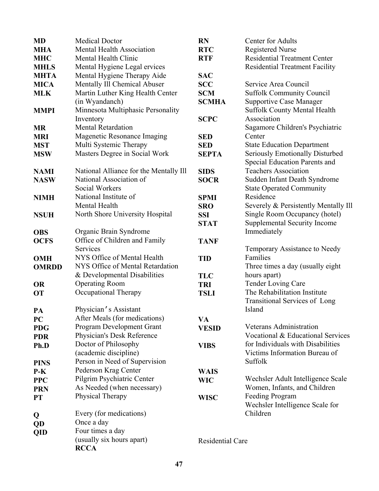| <b>MD</b>    | <b>Medical Doctor</b>                  | <b>RN</b>               | Center for Adults                     |
|--------------|----------------------------------------|-------------------------|---------------------------------------|
| <b>MHA</b>   | <b>Mental Health Association</b>       | <b>RTC</b>              | <b>Registered Nurse</b>               |
| <b>MHC</b>   | Mental Health Clinic                   | <b>RTF</b>              | <b>Residential Treatment Center</b>   |
| <b>MHLS</b>  | Mental Hygiene Legal ervices           |                         | <b>Residential Treatment Facility</b> |
| <b>MHTA</b>  | Mental Hygiene Therapy Aide            | <b>SAC</b>              |                                       |
| <b>MICA</b>  | Mentally Ill Chemical Abuser           | <b>SCC</b>              | Service Area Council                  |
| <b>MLK</b>   | Martin Luther King Health Center       | <b>SCM</b>              | <b>Suffolk Community Council</b>      |
|              | (in Wyandanch)                         | <b>SCMHA</b>            | <b>Supportive Case Manager</b>        |
| <b>MMPI</b>  | Minnesota Multiphasic Personality      |                         | <b>Suffolk County Mental Health</b>   |
|              | Inventory                              | <b>SCPC</b>             | Association                           |
| <b>MR</b>    | <b>Mental Retardation</b>              |                         | Sagamore Children's Psychiatric       |
| <b>MRI</b>   | Magenetic Resonance Imaging            | <b>SED</b>              | Center                                |
| <b>MST</b>   | Multi Systemic Therapy                 | <b>SED</b>              | <b>State Education Department</b>     |
| <b>MSW</b>   | Masters Degree in Social Work          | <b>SEPTA</b>            | Seriously Emotionally Disturbed       |
|              |                                        |                         | Special Education Parents and         |
| <b>NAMI</b>  | National Alliance for the Mentally Ill | <b>SIDS</b>             | <b>Teachers Association</b>           |
| <b>NASW</b>  | National Association of                | <b>SOCR</b>             | Sudden Infant Death Syndrome          |
|              | <b>Social Workers</b>                  |                         | <b>State Operated Community</b>       |
| <b>NIMH</b>  | National Institute of                  | <b>SPMI</b>             | Residence                             |
|              | Mental Health                          | <b>SRO</b>              | Severely & Persistently Mentally Ill  |
| <b>NSUH</b>  | North Shore University Hospital        | <b>SSI</b>              | Single Room Occupancy (hotel)         |
|              |                                        | <b>STAT</b>             | Supplemental Security Income          |
| <b>OBS</b>   | Organic Brain Syndrome                 |                         | Immediately                           |
| <b>OCFS</b>  | Office of Children and Family          | <b>TANF</b>             |                                       |
|              | Services                               |                         | Temporary Assistance to Needy         |
| <b>OMH</b>   | NYS Office of Mental Health            | <b>TID</b>              | Families                              |
| <b>OMRDD</b> | NYS Office of Mental Retardation       |                         | Three times a day (usually eight)     |
|              | & Developmental Disabilities           | <b>TLC</b>              | hours apart)                          |
| <b>OR</b>    | <b>Operating Room</b>                  | <b>TRI</b>              | <b>Tender Loving Care</b>             |
| <b>OT</b>    | Occupational Therapy                   | <b>TSLI</b>             | The Rehabilitation Institute          |
|              |                                        |                         | <b>Transitional Services of Long</b>  |
| PA           | Physician's Assistant                  |                         | Island                                |
| <b>PC</b>    | After Meals (for medications)          | VA                      |                                       |
| <b>PDG</b>   | <b>Program Development Grant</b>       | <b>VESID</b>            | Veterans Administration               |
| <b>PDR</b>   | Physician's Desk Reference             |                         | Vocational & Educational Services     |
| Ph.D         | Doctor of Philosophy                   | <b>VIBS</b>             | for Individuals with Disabilities     |
|              | (academic discipline)                  |                         | Victims Information Bureau of         |
| <b>PINS</b>  | Person in Need of Supervision          |                         | Suffolk                               |
| $P-K$        | Pederson Krag Center                   | <b>WAIS</b>             |                                       |
| <b>PPC</b>   | Pilgrim Psychiatric Center             | <b>WIC</b>              | Wechsler Adult Intelligence Scale     |
| <b>PRN</b>   | As Needed (when necessary)             |                         | Women, Infants, and Children          |
| <b>PT</b>    | Physical Therapy                       | <b>WISC</b>             | Feeding Program                       |
|              |                                        |                         | Wechsler Intelligence Scale for       |
| Q            | Every (for medications)                |                         | Children                              |
| QD           | Once a day                             |                         |                                       |
| QID          | Four times a day                       |                         |                                       |
|              | (usually six hours apart)              | <b>Residential Care</b> |                                       |
|              | <b>RCCA</b>                            |                         |                                       |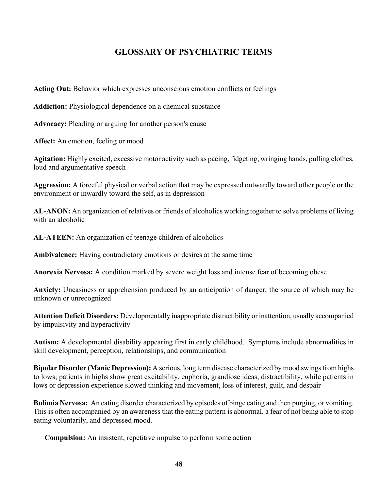# **GLOSSARY OF PSYCHIATRIC TERMS**

**Acting Out:** Behavior which expresses unconscious emotion conflicts or feelings

**Addiction:** Physiological dependence on a chemical substance

**Advocacy:** Pleading or arguing for another person's cause

Affect: An emotion, feeling or mood

**Agitation:** Highly excited, excessive motor activity such as pacing, fidgeting, wringing hands, pulling clothes, loud and argumentative speech

**Aggression:** A forceful physical or verbal action that may be expressed outwardly toward other people or the environment or inwardly toward the self, as in depression

**AL-ANON:** An organization of relatives or friends of alcoholics working together to solve problems of living with an alcoholic

**AL-ATEEN:** An organization of teenage children of alcoholics

**Ambivalence:** Having contradictory emotions or desires at the same time

**Anorexia Nervosa:** A condition marked by severe weight loss and intense fear of becoming obese

**Anxiety:** Uneasiness or apprehension produced by an anticipation of danger, the source of which may be unknown or unrecognized

**Attention Deficit Disorders:** Developmentally inappropriate distractibility or inattention, usually accompanied by impulsivity and hyperactivity

**Autism:** A developmental disability appearing first in early childhood. Symptoms include abnormalities in skill development, perception, relationships, and communication

**Bipolar Disorder (Manic Depression):** A serious, long term disease characterized by mood swings from highs to lows; patients in highs show great excitability, euphoria, grandiose ideas, distractibility, while patients in lows or depression experience slowed thinking and movement, loss of interest, guilt, and despair

**Bulimia Nervosa:** An eating disorder characterized by episodes of binge eating and then purging, or vomiting. This is often accompanied by an awareness that the eating pattern is abnormal, a fear of not being able to stop eating voluntarily, and depressed mood.

**Compulsion:** An insistent, repetitive impulse to perform some action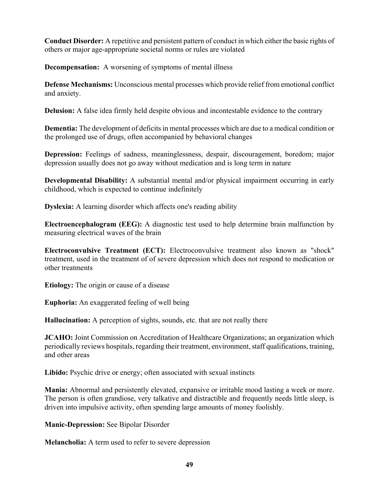**Conduct Disorder:** A repetitive and persistent pattern of conduct in which either the basic rights of others or major age-appropriate societal norms or rules are violated

**Decompensation:** A worsening of symptoms of mental illness

**Defense Mechanisms:** Unconscious mental processes which provide relief from emotional conflict and anxiety.

**Delusion:** A false idea firmly held despite obvious and incontestable evidence to the contrary

**Dementia:** The development of deficits in mental processes which are due to a medical condition or the prolonged use of drugs, often accompanied by behavioral changes

**Depression:** Feelings of sadness, meaninglessness, despair, discouragement, boredom; major depression usually does not go away without medication and is long term in nature

**Developmental Disability:** A substantial mental and/or physical impairment occurring in early childhood, which is expected to continue indefinitely

**Dyslexia:** A learning disorder which affects one's reading ability

**Electroencephalogram (EEG):** A diagnostic test used to help determine brain malfunction by measuring electrical waves of the brain

**Electroconvulsive Treatment (ECT):** Electroconvulsive treatment also known as "shock" treatment, used in the treatment of of severe depression which does not respond to medication or other treatments

**Etiology:** The origin or cause of a disease

**Euphoria:** An exaggerated feeling of well being

**Hallucination:** A perception of sights, sounds, etc. that are not really there

**JCAHO:** Joint Commission on Accreditation of Healthcare Organizations; an organization which periodically reviews hospitals, regarding their treatment, environment, staff qualifications, training, and other areas

**Libido:** Psychic drive or energy; often associated with sexual instincts

**Mania:** Abnormal and persistently elevated, expansive or irritable mood lasting a week or more. The person is often grandiose, very talkative and distractible and frequently needs little sleep, is driven into impulsive activity, often spending large amounts of money foolishly.

**Manic-Depression:** See Bipolar Disorder

**Melancholia:** A term used to refer to severe depression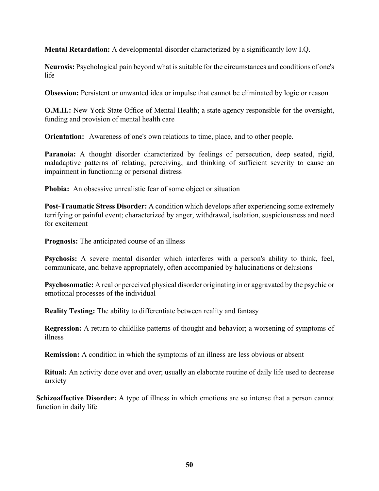**Mental Retardation:** A developmental disorder characterized by a significantly low I.Q.

**Neurosis:** Psychological pain beyond what is suitable for the circumstances and conditions of one's life

**Obsession:** Persistent or unwanted idea or impulse that cannot be eliminated by logic or reason

**O.M.H.:** New York State Office of Mental Health; a state agency responsible for the oversight, funding and provision of mental health care

**Orientation:** Awareness of one's own relations to time, place, and to other people.

Paranoia: A thought disorder characterized by feelings of persecution, deep seated, rigid, maladaptive patterns of relating, perceiving, and thinking of sufficient severity to cause an impairment in functioning or personal distress

**Phobia:** An obsessive unrealistic fear of some object or situation

**Post-Traumatic Stress Disorder:** A condition which develops after experiencing some extremely terrifying or painful event; characterized by anger, withdrawal, isolation, suspiciousness and need for excitement

**Prognosis:** The anticipated course of an illness

**Psychosis:** A severe mental disorder which interferes with a person's ability to think, feel, communicate, and behave appropriately, often accompanied by halucinations or delusions

**Psychosomatic:** A real or perceived physical disorder originating in or aggravated by the psychic or emotional processes of the individual

**Reality Testing:** The ability to differentiate between reality and fantasy

**Regression:** A return to childlike patterns of thought and behavior; a worsening of symptoms of illness

**Remission:** A condition in which the symptoms of an illness are less obvious or absent

**Ritual:** An activity done over and over; usually an elaborate routine of daily life used to decrease anxiety

**Schizoaffective Disorder:** A type of illness in which emotions are so intense that a person cannot function in daily life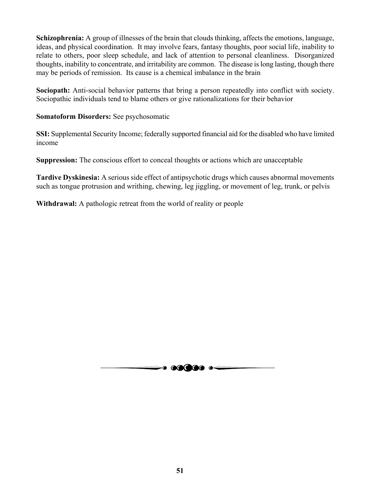**Schizophrenia:** A group of illnesses of the brain that clouds thinking, affects the emotions, language, ideas, and physical coordination. It may involve fears, fantasy thoughts, poor social life, inability to relate to others, poor sleep schedule, and lack of attention to personal cleanliness. Disorganized thoughts, inability to concentrate, and irritability are common. The disease is long lasting, though there may be periods of remission. Its cause is a chemical imbalance in the brain

**Sociopath:** Anti-social behavior patterns that bring a person repeatedly into conflict with society. Sociopathic individuals tend to blame others or give rationalizations for their behavior

## **Somatoform Disorders:** See psychosomatic

**SSI:** Supplemental Security Income; federally supported financial aid for the disabled who have limited income

**Suppression:** The conscious effort to conceal thoughts or actions which are unacceptable

**Tardive Dyskinesia:** A serious side effect of antipsychotic drugs which causes abnormal movements such as tongue protrusion and writhing, chewing, leg jiggling, or movement of leg, trunk, or pelvis

**Withdrawal:** A pathologic retreat from the world of reality or people

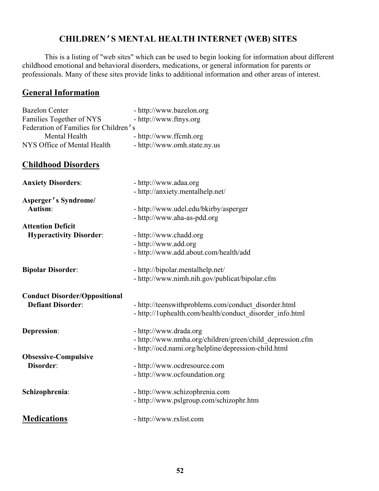# **CHILDREN'S MENTAL HEALTH INTERNET (WEB) SITES**

This is a listing of "web sites" which can be used to begin looking for information about different childhood emotional and behavioral disorders, medications, or general information for parents or professionals. Many of these sites provide links to additional information and other areas of interest.

# **General Information**

| <b>Bazelon Center</b><br>Families Together of NYS | - http://www.bazelon.org<br>- http://www.ftnys.org        |
|---------------------------------------------------|-----------------------------------------------------------|
| Federation of Families for Children's             |                                                           |
| Mental Health                                     | - http://www.ffcmh.org                                    |
| NYS Office of Mental Health                       | - http://www.omh.state.ny.us                              |
| <b>Childhood Disorders</b>                        |                                                           |
| <b>Anxiety Disorders:</b>                         | - http://www.adaa.org                                     |
|                                                   | - http://anxiety.mentalhelp.net/                          |
| Asperger's Syndrome/                              |                                                           |
| Autism:                                           | - http://www.udel.edu/bkirby/asperger                     |
|                                                   | - http://www.aha-as-pdd.org                               |
| <b>Attention Deficit</b>                          |                                                           |
| <b>Hyperactivity Disorder:</b>                    | - http://www.chadd.org                                    |
|                                                   | - http://www.add.org                                      |
|                                                   | - http://www.add.about.com/health/add                     |
| <b>Bipolar Disorder:</b>                          | - http://bipolar.mentalhelp.net/                          |
|                                                   | - http://www.nimh.nih.gov/publicat/bipolar.cfm            |
| <b>Conduct Disorder/Oppositional</b>              |                                                           |
| <b>Defiant Disorder:</b>                          | - http://teenswithproblems.com/conduct_disorder.html      |
|                                                   | - http://1uphealth.com/health/conduct_disorder_info.html  |
| Depression:                                       | - http://www.drada.org                                    |
|                                                   | - http://www.nmha.org/children/green/child depression.cfm |
|                                                   | - http://ocd.nami.org/helpline/depression-child.html      |
| <b>Obsessive-Compulsive</b>                       |                                                           |
| Disorder:                                         | - http://www.ocdresource.com                              |
|                                                   | - http://www.ocfoundation.org                             |
| Schizophrenia:                                    | - http://www.schizophrenia.com                            |
|                                                   | - http://www.pslgroup.com/schizophr.htm                   |
| <b>Medications</b>                                | - http://www.rxlist.com                                   |
|                                                   |                                                           |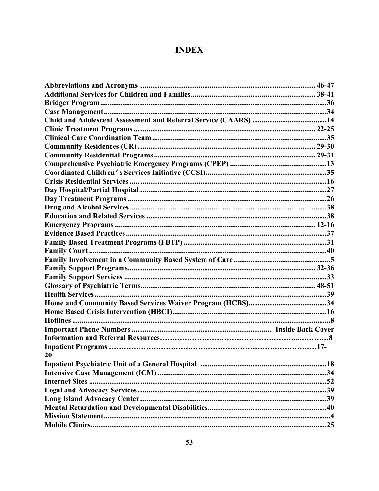# **INDEX**

| 20 |  |
|----|--|
|    |  |
|    |  |
|    |  |
|    |  |
|    |  |
|    |  |
|    |  |
|    |  |